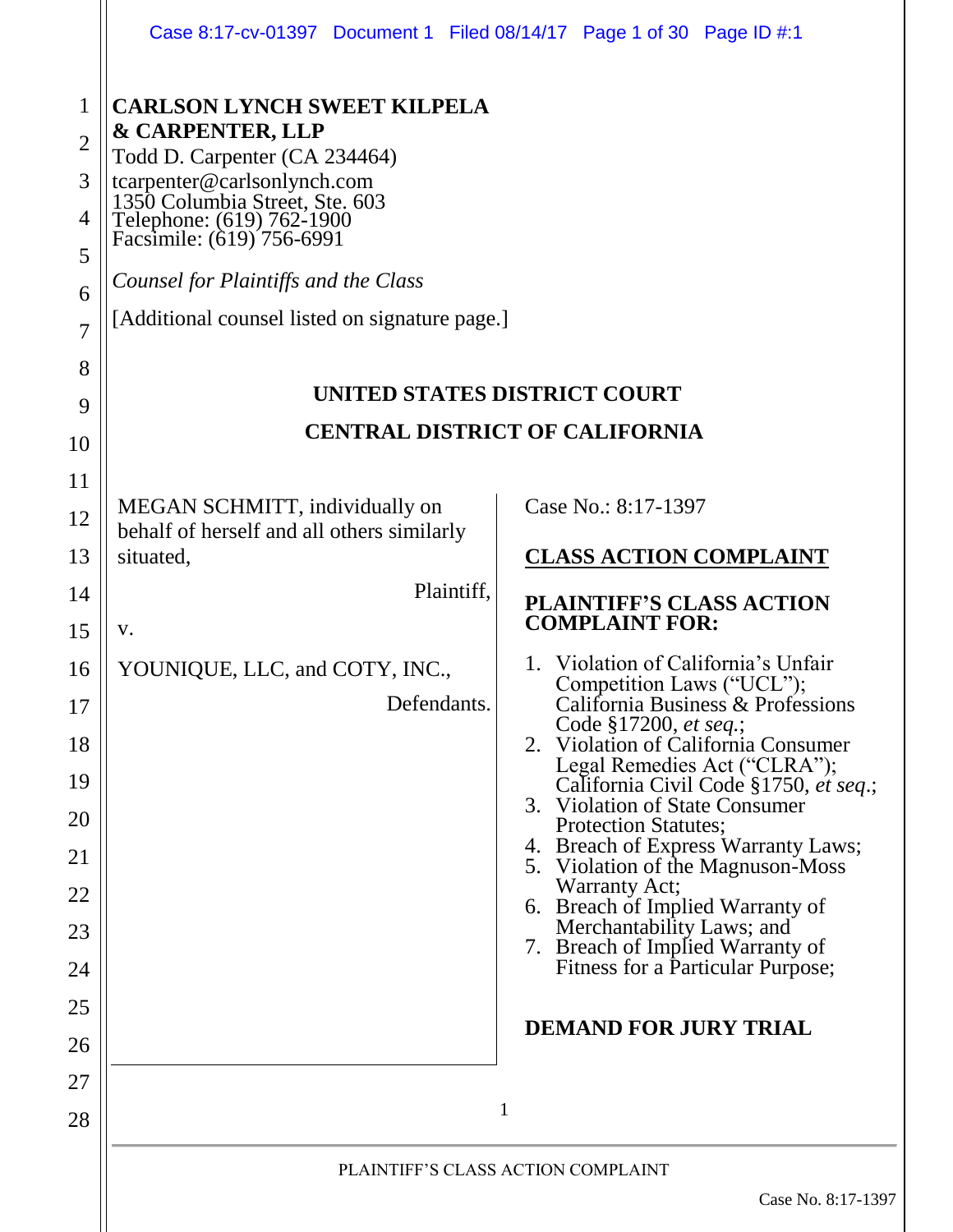|                                                                                              | Case 8:17-cv-01397 Document 1 Filed 08/14/17 Page 1 of 30 Page ID #:1                                                                                                                                                                                                                                                                                   |                                                                                                                                                                                                                                                                                                                                                                                                                                                                                                                                                                                                                                                                                                               |
|----------------------------------------------------------------------------------------------|---------------------------------------------------------------------------------------------------------------------------------------------------------------------------------------------------------------------------------------------------------------------------------------------------------------------------------------------------------|---------------------------------------------------------------------------------------------------------------------------------------------------------------------------------------------------------------------------------------------------------------------------------------------------------------------------------------------------------------------------------------------------------------------------------------------------------------------------------------------------------------------------------------------------------------------------------------------------------------------------------------------------------------------------------------------------------------|
| 1<br>$\overline{2}$<br>3<br>$\overline{4}$<br>5<br>6<br>$\overline{7}$<br>8<br>9             | <b>CARLSON LYNCH SWEET KILPELA</b><br><b>&amp; CARPENTER, LLP</b><br>Todd D. Carpenter (CA 234464)<br>tcarpenter@carlsonlynch.com<br>1350 Columbia Street, Ste. 603<br>Telephone: (619) 762-1900<br>Facsimile: (619) 756-6991<br>Counsel for Plaintiffs and the Class<br>[Additional counsel listed on signature page.]<br>UNITED STATES DISTRICT COURT |                                                                                                                                                                                                                                                                                                                                                                                                                                                                                                                                                                                                                                                                                                               |
| 10<br>11                                                                                     |                                                                                                                                                                                                                                                                                                                                                         | <b>CENTRAL DISTRICT OF CALIFORNIA</b>                                                                                                                                                                                                                                                                                                                                                                                                                                                                                                                                                                                                                                                                         |
| 12<br>13<br>14<br>15<br>16<br>17<br>18<br>19<br>20<br>21<br>22<br>23<br>24<br>25<br>26<br>27 | MEGAN SCHMITT, individually on<br>behalf of herself and all others similarly<br>situated,<br>Plaintiff,<br>V.<br>YOUNIQUE, LLC, and COTY, INC.,<br>Defendants.                                                                                                                                                                                          | Case No.: 8:17-1397<br><b>CLASS ACTION COMPLAINT</b><br><b>PLAINTIFF'S CLASS ACTION</b><br><b>COMPLAINT FOR:</b><br>Violation of California's Unfair<br>1.<br>Competition Laws ("UCL");<br>California Business & Professions<br>Code §17200, et seq.;<br>2. Violation of California Consumer<br>Legal Remedies Act ("CLRA");<br>California Civil Code §1750, et seq.;<br>3. Violation of State Consumer<br><b>Protection Statutes;</b><br>4. Breach of Express Warranty Laws;<br>5. Violation of the Magnuson-Moss<br>Warranty Act;<br>6. Breach of Implied Warranty of<br>Merchantability Laws; and<br>7. Breach of Implied Warranty of<br>Fitness for a Particular Purpose;<br><b>DEMAND FOR JURY TRIAL</b> |
| 28                                                                                           |                                                                                                                                                                                                                                                                                                                                                         | 1                                                                                                                                                                                                                                                                                                                                                                                                                                                                                                                                                                                                                                                                                                             |
|                                                                                              |                                                                                                                                                                                                                                                                                                                                                         | PLAINTIFF'S CLASS ACTION COMPLAINT<br>Case No. 8:17-1397                                                                                                                                                                                                                                                                                                                                                                                                                                                                                                                                                                                                                                                      |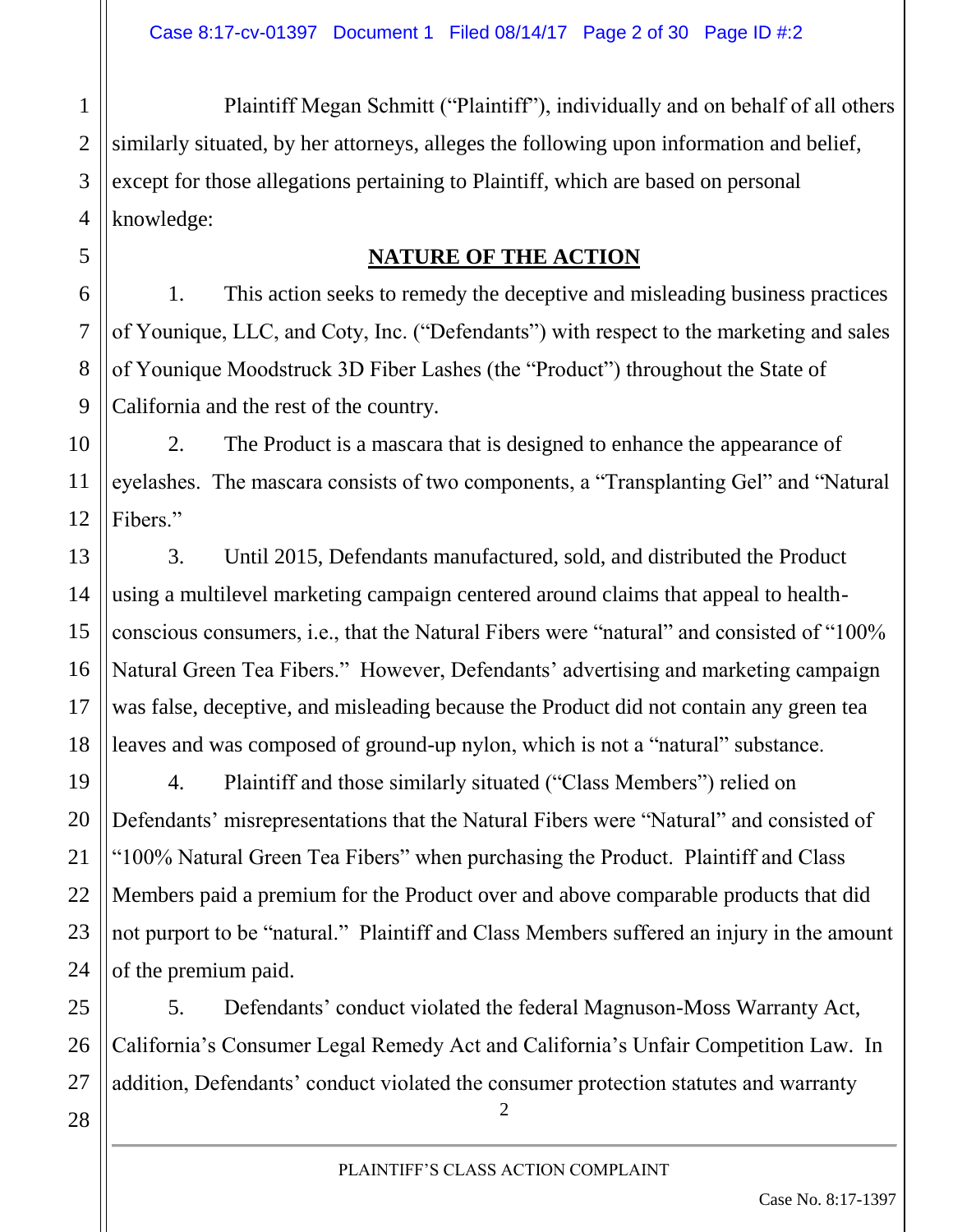Plaintiff Megan Schmitt ("Plaintiff"), individually and on behalf of all others similarly situated, by her attorneys, alleges the following upon information and belief, except for those allegations pertaining to Plaintiff, which are based on personal knowledge:

#### **NATURE OF THE ACTION**

1. This action seeks to remedy the deceptive and misleading business practices of Younique, LLC, and Coty, Inc. ("Defendants") with respect to the marketing and sales of Younique Moodstruck 3D Fiber Lashes (the "Product") throughout the State of California and the rest of the country.

2. The Product is a mascara that is designed to enhance the appearance of eyelashes. The mascara consists of two components, a "Transplanting Gel" and "Natural Fibers."

3. Until 2015, Defendants manufactured, sold, and distributed the Product using a multilevel marketing campaign centered around claims that appeal to healthconscious consumers, i.e., that the Natural Fibers were "natural" and consisted of "100% Natural Green Tea Fibers." However, Defendants' advertising and marketing campaign was false, deceptive, and misleading because the Product did not contain any green tea leaves and was composed of ground-up nylon, which is not a "natural" substance.

4. Plaintiff and those similarly situated ("Class Members") relied on Defendants' misrepresentations that the Natural Fibers were "Natural" and consisted of "100% Natural Green Tea Fibers" when purchasing the Product. Plaintiff and Class Members paid a premium for the Product over and above comparable products that did not purport to be "natural." Plaintiff and Class Members suffered an injury in the amount of the premium paid.

5. Defendants' conduct violated the federal Magnuson-Moss Warranty Act, California's Consumer Legal Remedy Act and California's Unfair Competition Law. In addition, Defendants' conduct violated the consumer protection statutes and warranty

 $\mathfrak{D}$ 

1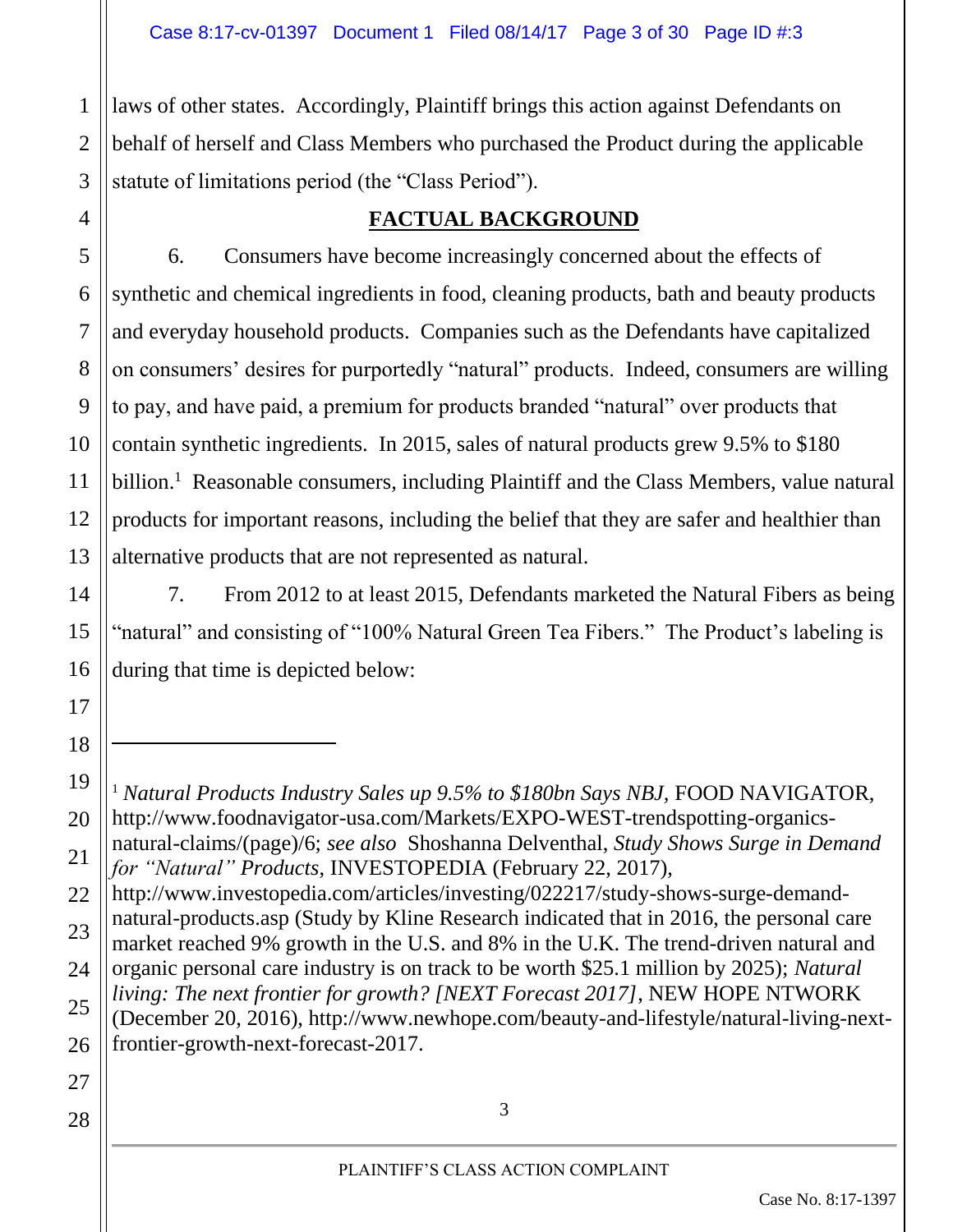laws of other states. Accordingly, Plaintiff brings this action against Defendants on behalf of herself and Class Members who purchased the Product during the applicable statute of limitations period (the "Class Period").

#### **FACTUAL BACKGROUND**

13 6. Consumers have become increasingly concerned about the effects of synthetic and chemical ingredients in food, cleaning products, bath and beauty products and everyday household products. Companies such as the Defendants have capitalized on consumers' desires for purportedly "natural" products. Indeed, consumers are willing to pay, and have paid, a premium for products branded "natural" over products that contain synthetic ingredients. In 2015, sales of natural products grew 9.5% to \$180 billion.<sup>1</sup> Reasonable consumers, including Plaintiff and the Class Members, value natural products for important reasons, including the belief that they are safer and healthier than alternative products that are not represented as natural.

7. From 2012 to at least 2015, Defendants marketed the Natural Fibers as being "natural" and consisting of "100% Natural Green Tea Fibers." The Product's labeling is during that time is depicted below:

28

1

2

3

4

5

6

7

8

9

10

11

12

14

15

16

17

18

 $\overline{a}$ 

<sup>19</sup> 20 21 22 23 24 25 26 27 <sup>1</sup> Natural Products Industry Sales up 9.5% to \$180bn Says NBJ, FOOD NAVIGATOR, http://www.foodnavigator-usa.com/Markets/EXPO-WEST-trendspotting-organicsnatural-claims/(page)/6; *see also* Shoshanna Delventhal, *Study Shows Surge in Demand for "Natural" Products*, INVESTOPEDIA (February 22, 2017), http://www.investopedia.com/articles/investing/022217/study-shows-surge-demandnatural-products.asp (Study by Kline Research indicated that in 2016, the personal care market reached 9% growth in the U.S. and 8% in the U.K. The trend-driven natural and organic personal care industry is on track to be worth \$25.1 million by 2025); *Natural living: The next frontier for growth? [NEXT Forecast 2017]*, NEW HOPE NTWORK (December 20, 2016), http://www.newhope.com/beauty-and-lifestyle/natural-living-nextfrontier-growth-next-forecast-2017.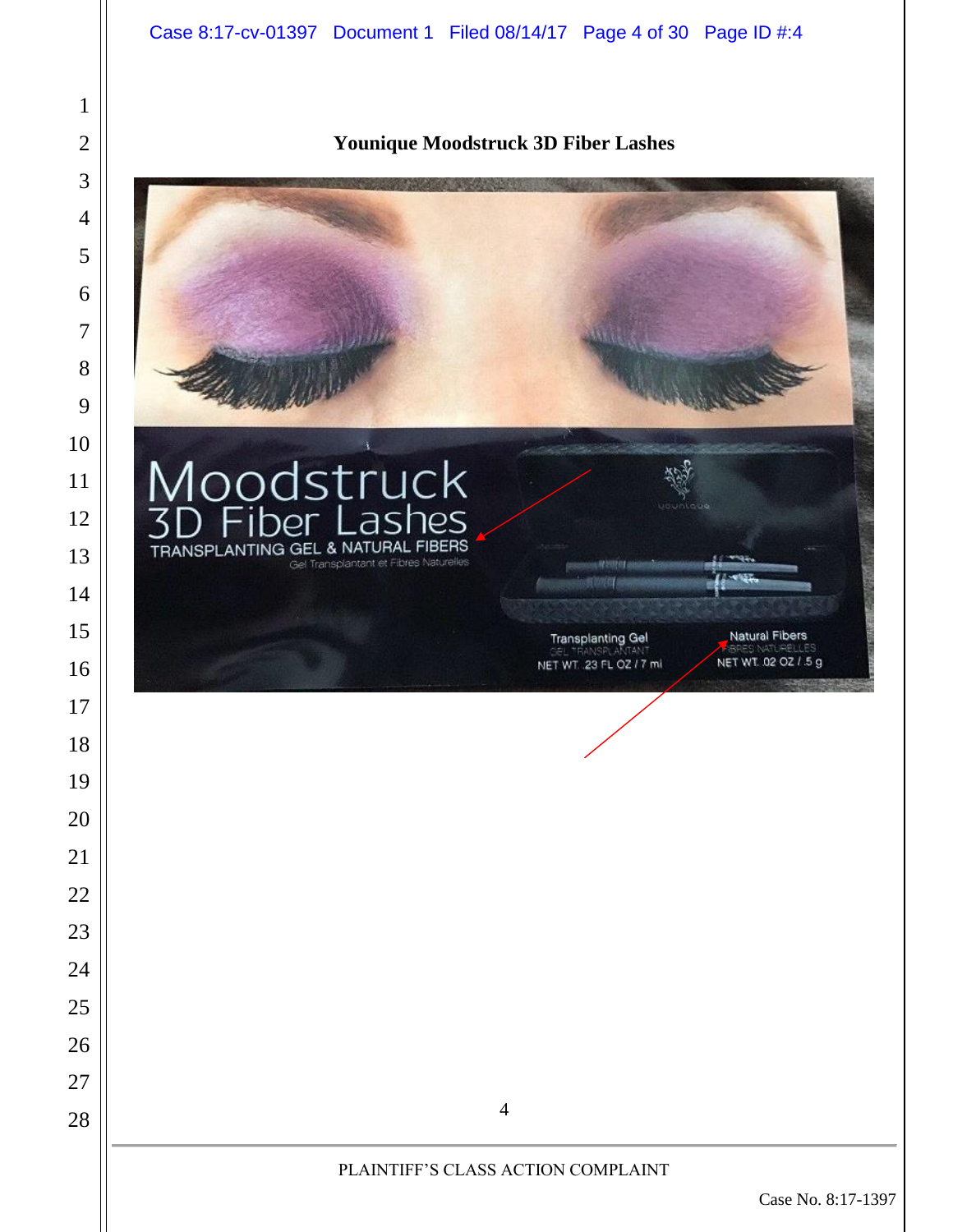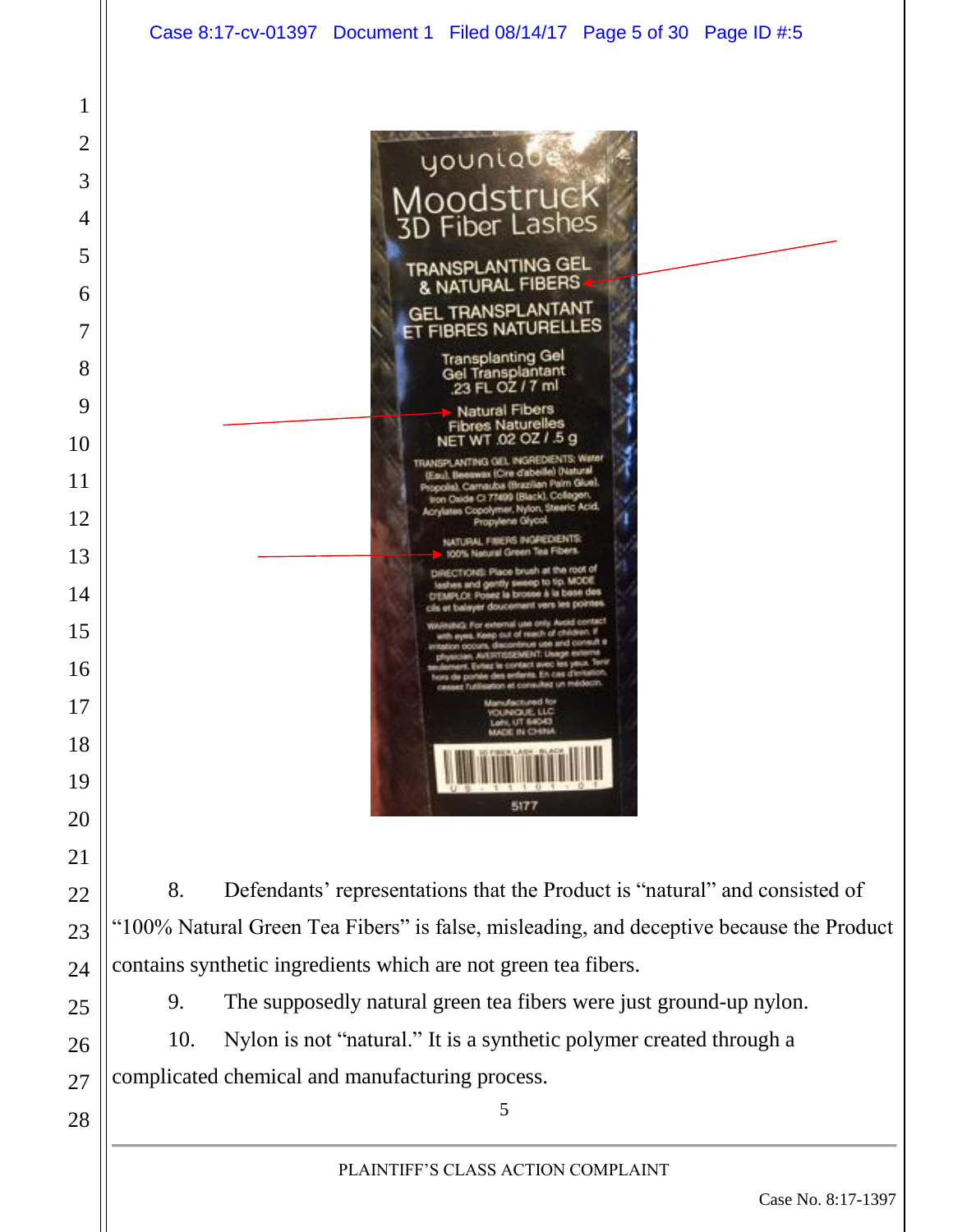

"100% Natural Green Tea Fibers" is false, misleading, and deceptive because the Product contains synthetic ingredients which are not green tea fibers.

9. The supposedly natural green tea fibers were just ground-up nylon.

10. Nylon is not "natural." It is a synthetic polymer created through a complicated chemical and manufacturing process.

PLAINTIFF'S CLASS ACTION COMPLAINT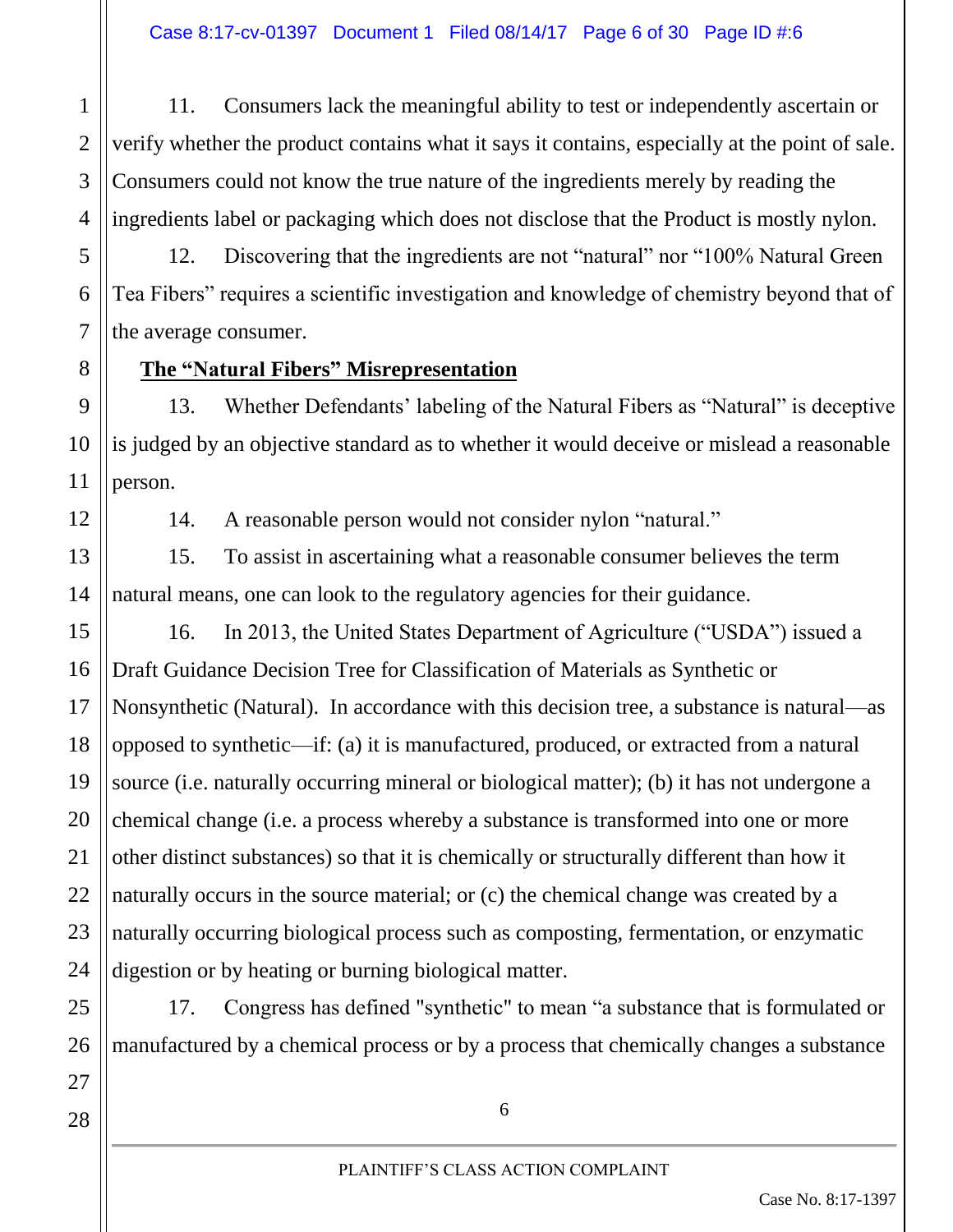11. Consumers lack the meaningful ability to test or independently ascertain or verify whether the product contains what it says it contains, especially at the point of sale. Consumers could not know the true nature of the ingredients merely by reading the ingredients label or packaging which does not disclose that the Product is mostly nylon.

12. Discovering that the ingredients are not "natural" nor "100% Natural Green Tea Fibers" requires a scientific investigation and knowledge of chemistry beyond that of the average consumer.

#### **The "Natural Fibers" Misrepresentation**

13. Whether Defendants' labeling of the Natural Fibers as "Natural" is deceptive is judged by an objective standard as to whether it would deceive or mislead a reasonable person.

14. A reasonable person would not consider nylon "natural."

15. To assist in ascertaining what a reasonable consumer believes the term natural means, one can look to the regulatory agencies for their guidance.

16. In 2013, the United States Department of Agriculture ("USDA") issued a Draft Guidance Decision Tree for Classification of Materials as Synthetic or Nonsynthetic (Natural). In accordance with this decision tree, a substance is natural—as opposed to synthetic—if: (a) it is manufactured, produced, or extracted from a natural source (i.e. naturally occurring mineral or biological matter); (b) it has not undergone a chemical change (i.e. a process whereby a substance is transformed into one or more other distinct substances) so that it is chemically or structurally different than how it naturally occurs in the source material; or (c) the chemical change was created by a naturally occurring biological process such as composting, fermentation, or enzymatic digestion or by heating or burning biological matter.

17. Congress has defined "synthetic" to mean "a substance that is formulated or manufactured by a chemical process or by a process that chemically changes a substance

28

27

1

2

3

4

5

6

7

8

9

10

11

12

13

14

15

16

17

18

19

20

21

22

23

24

25

26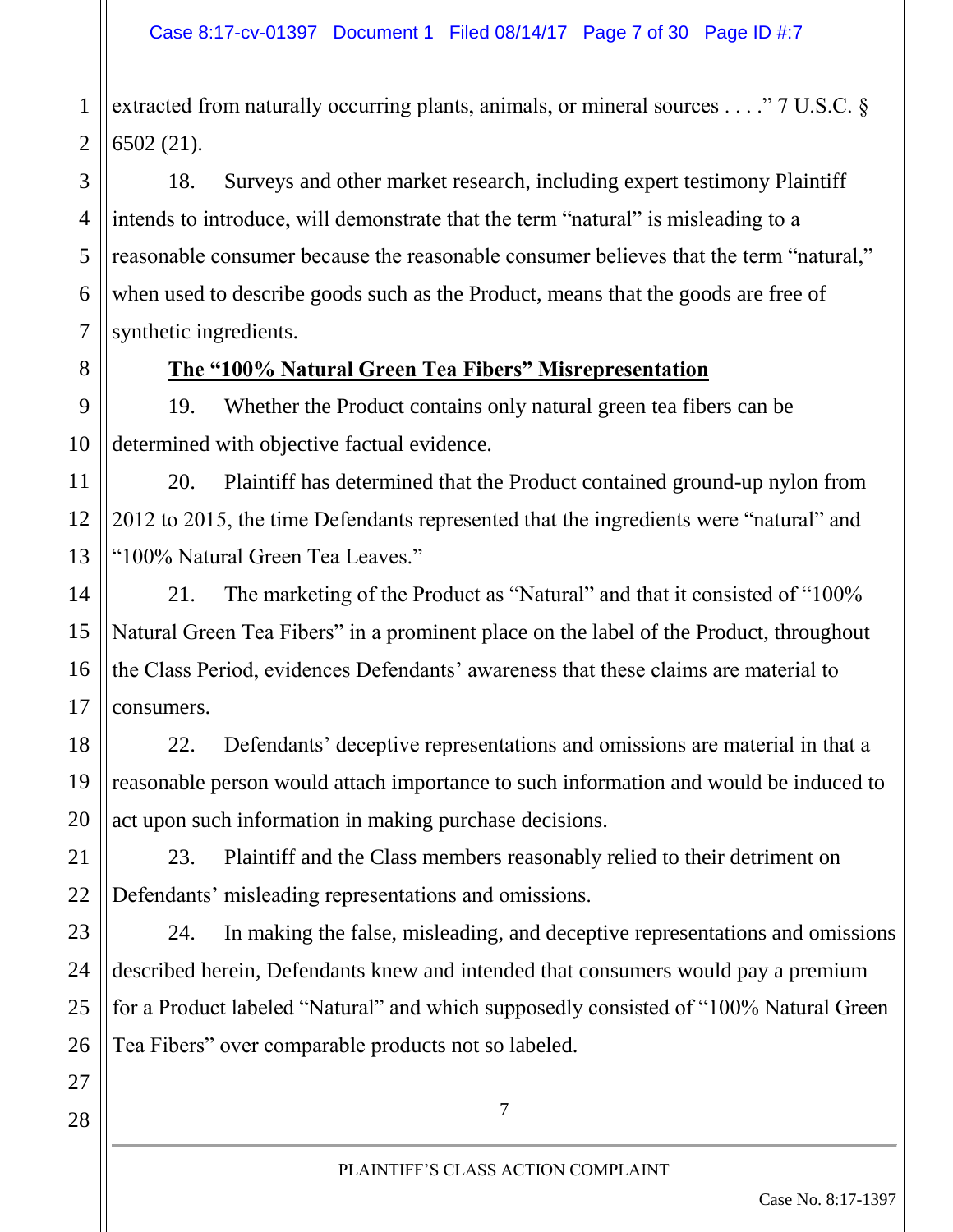2 extracted from naturally occurring plants, animals, or mineral sources . . . ." 7 U.S.C. § 6502 (21).

18. Surveys and other market research, including expert testimony Plaintiff intends to introduce, will demonstrate that the term "natural" is misleading to a reasonable consumer because the reasonable consumer believes that the term "natural," when used to describe goods such as the Product, means that the goods are free of synthetic ingredients.

1

3

4

5

6

7

8

9

10

11

12

13

14

15

16

17

19

#### **The "100% Natural Green Tea Fibers" Misrepresentation**

19. Whether the Product contains only natural green tea fibers can be determined with objective factual evidence.

20. Plaintiff has determined that the Product contained ground-up nylon from 2012 to 2015, the time Defendants represented that the ingredients were "natural" and "100% Natural Green Tea Leaves."

21. The marketing of the Product as "Natural" and that it consisted of "100% Natural Green Tea Fibers" in a prominent place on the label of the Product, throughout the Class Period, evidences Defendants' awareness that these claims are material to consumers.

18 22. Defendants' deceptive representations and omissions are material in that a reasonable person would attach importance to such information and would be induced to act upon such information in making purchase decisions.

23. Plaintiff and the Class members reasonably relied to their detriment on Defendants' misleading representations and omissions.

24. In making the false, misleading, and deceptive representations and omissions described herein, Defendants knew and intended that consumers would pay a premium for a Product labeled "Natural" and which supposedly consisted of "100% Natural Green Tea Fibers" over comparable products not so labeled.

28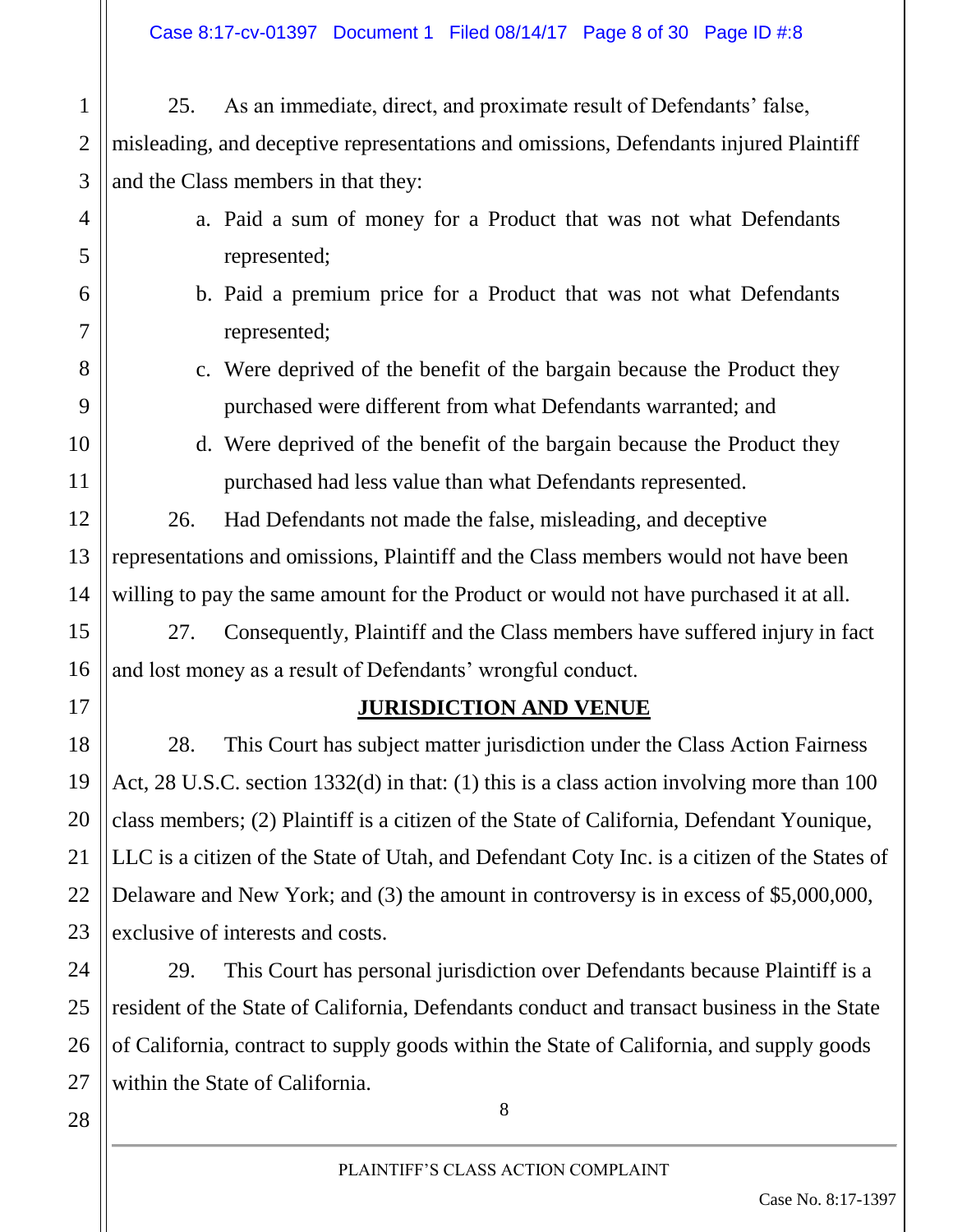25. As an immediate, direct, and proximate result of Defendants' false, misleading, and deceptive representations and omissions, Defendants injured Plaintiff and the Class members in that they:

- a. Paid a sum of money for a Product that was not what Defendants represented;
- b. Paid a premium price for a Product that was not what Defendants represented;
- c. Were deprived of the benefit of the bargain because the Product they purchased were different from what Defendants warranted; and
- d. Were deprived of the benefit of the bargain because the Product they purchased had less value than what Defendants represented.

26. Had Defendants not made the false, misleading, and deceptive representations and omissions, Plaintiff and the Class members would not have been willing to pay the same amount for the Product or would not have purchased it at all.

27. Consequently, Plaintiff and the Class members have suffered injury in fact and lost money as a result of Defendants' wrongful conduct.

#### **JURISDICTION AND VENUE**

28. This Court has subject matter jurisdiction under the Class Action Fairness Act, 28 U.S.C. section 1332(d) in that: (1) this is a class action involving more than 100 class members; (2) Plaintiff is a citizen of the State of California, Defendant Younique, LLC is a citizen of the State of Utah, and Defendant Coty Inc. is a citizen of the States of Delaware and New York; and (3) the amount in controversy is in excess of \$5,000,000, exclusive of interests and costs.

24 25 26 27 29. This Court has personal jurisdiction over Defendants because Plaintiff is a resident of the State of California, Defendants conduct and transact business in the State of California, contract to supply goods within the State of California, and supply goods within the State of California.

28

1

2

3

4

5

6

7

8

9

10

11

12

13

14

15

16

17

18

19

20

21

22

23

PLAINTIFF'S CLASS ACTION COMPLAINT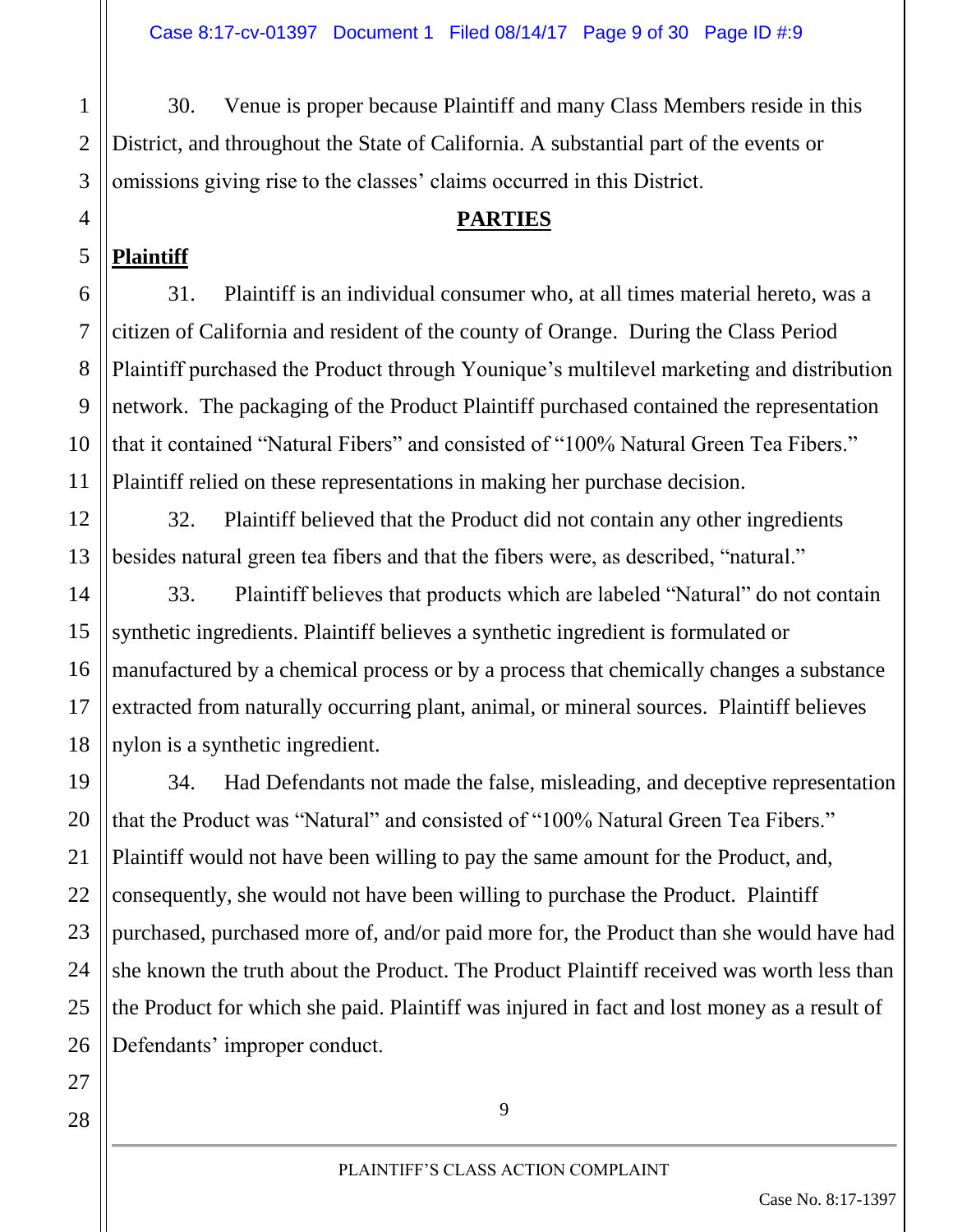30. Venue is proper because Plaintiff and many Class Members reside in this District, and throughout the State of California. A substantial part of the events or omissions giving rise to the classes' claims occurred in this District.

#### **PARTIES**

#### **Plaintiff**

1

2

3

31. Plaintiff is an individual consumer who, at all times material hereto, was a citizen of California and resident of the county of Orange. During the Class Period Plaintiff purchased the Product through Younique's multilevel marketing and distribution network. The packaging of the Product Plaintiff purchased contained the representation that it contained "Natural Fibers" and consisted of "100% Natural Green Tea Fibers." Plaintiff relied on these representations in making her purchase decision.

32. Plaintiff believed that the Product did not contain any other ingredients besides natural green tea fibers and that the fibers were, as described, "natural."

33. Plaintiff believes that products which are labeled "Natural" do not contain synthetic ingredients. Plaintiff believes a synthetic ingredient is formulated or manufactured by a chemical process or by a process that chemically changes a substance extracted from naturally occurring plant, animal, or mineral sources. Plaintiff believes nylon is a synthetic ingredient.

34. Had Defendants not made the false, misleading, and deceptive representation that the Product was "Natural" and consisted of "100% Natural Green Tea Fibers." Plaintiff would not have been willing to pay the same amount for the Product, and, consequently, she would not have been willing to purchase the Product. Plaintiff purchased, purchased more of, and/or paid more for, the Product than she would have had she known the truth about the Product. The Product Plaintiff received was worth less than the Product for which she paid. Plaintiff was injured in fact and lost money as a result of Defendants' improper conduct.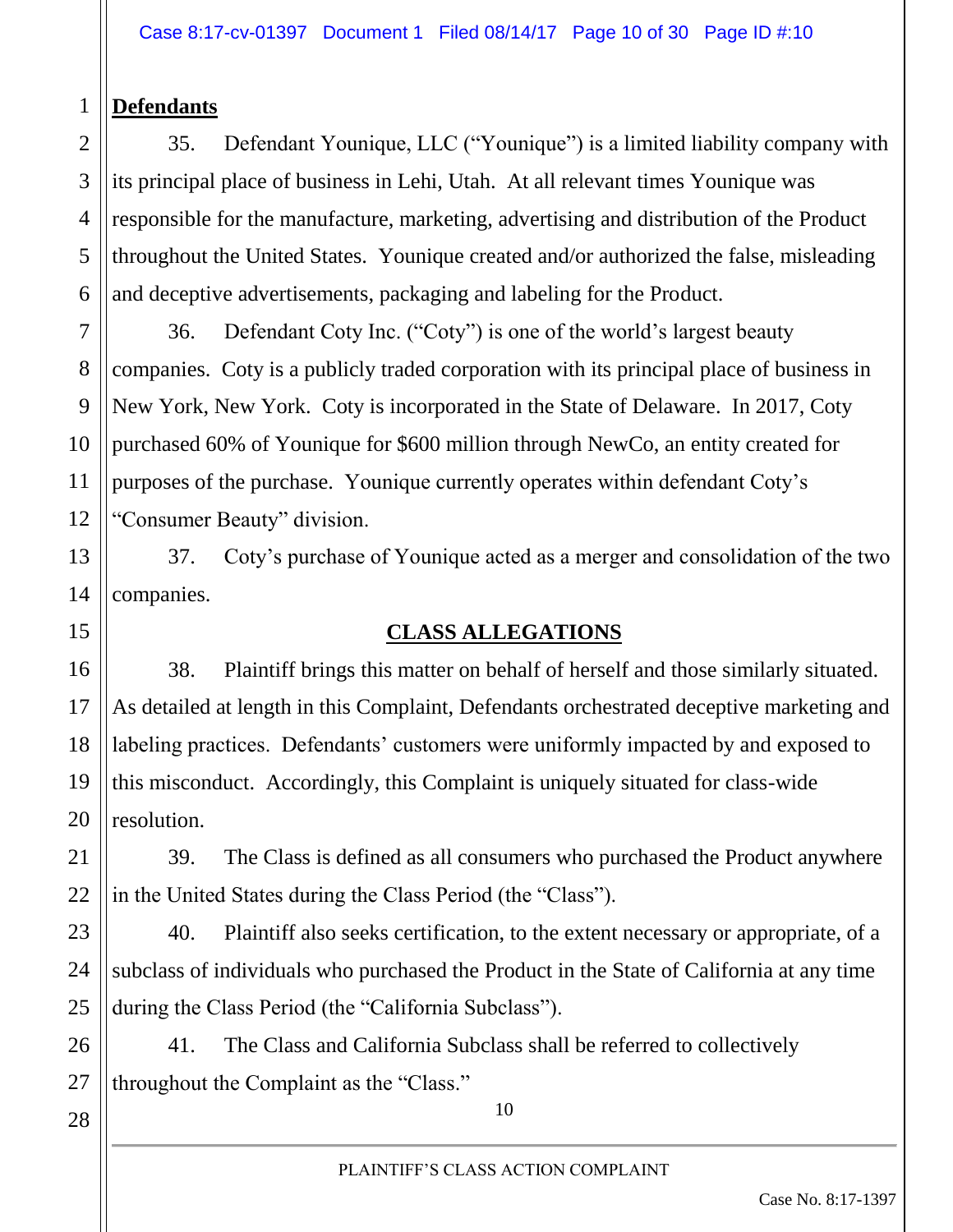#### 1 **Defendants**

2

3

4

5

6

11

13

14

15

16

17

18

19

20

21

22

23

24

25

26

35. Defendant Younique, LLC ("Younique") is a limited liability company with its principal place of business in Lehi, Utah. At all relevant times Younique was responsible for the manufacture, marketing, advertising and distribution of the Product throughout the United States. Younique created and/or authorized the false, misleading and deceptive advertisements, packaging and labeling for the Product.

7 8 9 10 12 36. Defendant Coty Inc. ("Coty") is one of the world's largest beauty companies. Coty is a publicly traded corporation with its principal place of business in New York, New York. Coty is incorporated in the State of Delaware. In 2017, Coty purchased 60% of Younique for \$600 million through NewCo, an entity created for purposes of the purchase. Younique currently operates within defendant Coty's "Consumer Beauty" division.

37. Coty's purchase of Younique acted as a merger and consolidation of the two companies.

#### **CLASS ALLEGATIONS**

38. Plaintiff brings this matter on behalf of herself and those similarly situated. As detailed at length in this Complaint, Defendants orchestrated deceptive marketing and labeling practices. Defendants' customers were uniformly impacted by and exposed to this misconduct. Accordingly, this Complaint is uniquely situated for class-wide resolution.

39. The Class is defined as all consumers who purchased the Product anywhere in the United States during the Class Period (the "Class").

40. Plaintiff also seeks certification, to the extent necessary or appropriate, of a subclass of individuals who purchased the Product in the State of California at any time during the Class Period (the "California Subclass").

41. The Class and California Subclass shall be referred to collectively throughout the Complaint as the "Class."

28

27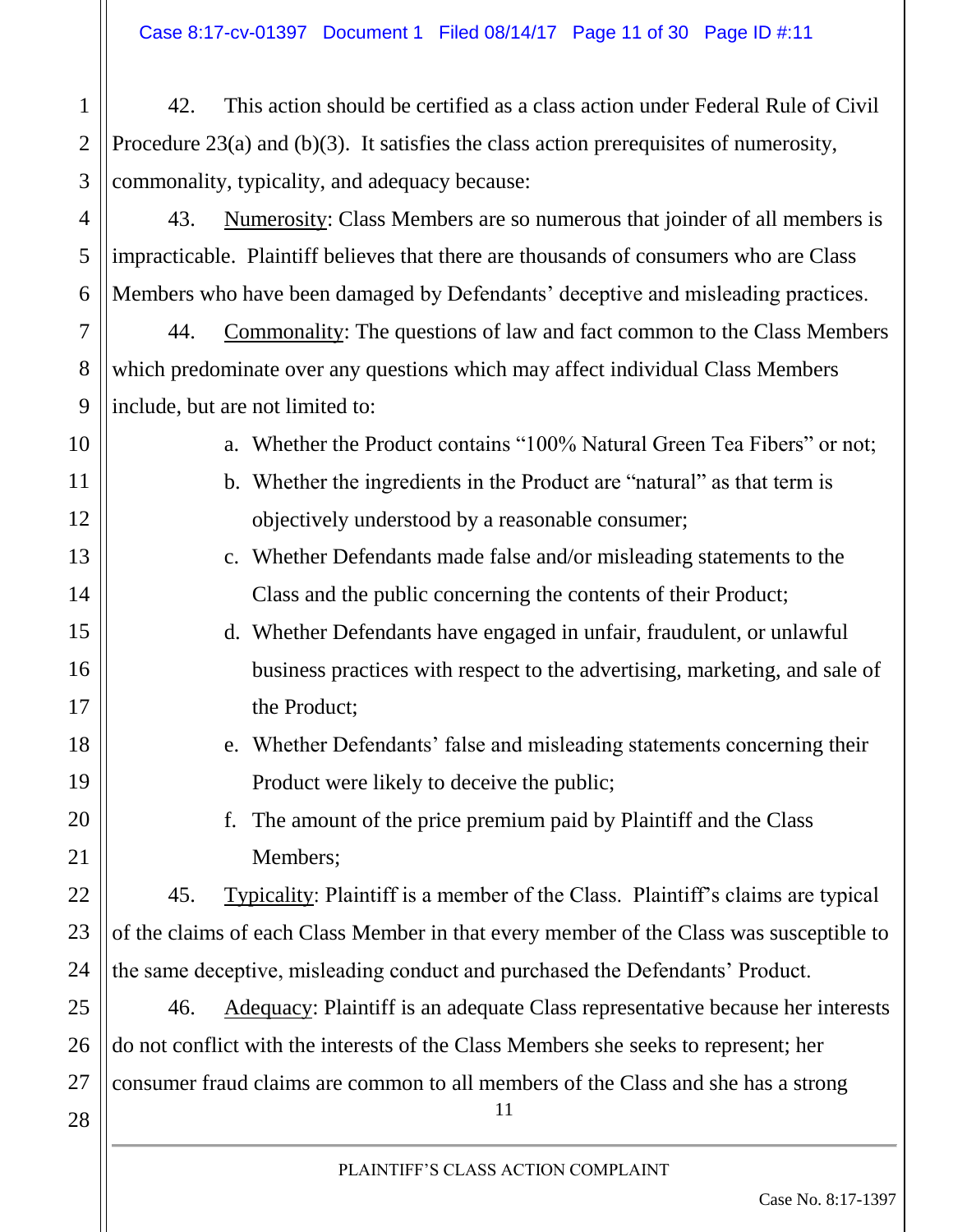42. This action should be certified as a class action under Federal Rule of Civil Procedure 23(a) and (b)(3). It satisfies the class action prerequisites of numerosity, commonality, typicality, and adequacy because:

43. Numerosity: Class Members are so numerous that joinder of all members is impracticable. Plaintiff believes that there are thousands of consumers who are Class Members who have been damaged by Defendants' deceptive and misleading practices.

44. Commonality: The questions of law and fact common to the Class Members which predominate over any questions which may affect individual Class Members include, but are not limited to:

10

11

12

13

14

15

16

17

18

19

20

21

22

23

24

27

28

1

2

3

4

5

6

7

8

9

a. Whether the Product contains "100% Natural Green Tea Fibers" or not;

- b. Whether the ingredients in the Product are "natural" as that term is objectively understood by a reasonable consumer;
- c. Whether Defendants made false and/or misleading statements to the Class and the public concerning the contents of their Product;
- d. Whether Defendants have engaged in unfair, fraudulent, or unlawful business practices with respect to the advertising, marketing, and sale of the Product;
- e. Whether Defendants' false and misleading statements concerning their Product were likely to deceive the public;
	- f. The amount of the price premium paid by Plaintiff and the Class Members;

45. Typicality: Plaintiff is a member of the Class. Plaintiff's claims are typical of the claims of each Class Member in that every member of the Class was susceptible to the same deceptive, misleading conduct and purchased the Defendants' Product.

11 25 26 46. Adequacy: Plaintiff is an adequate Class representative because her interests do not conflict with the interests of the Class Members she seeks to represent; her consumer fraud claims are common to all members of the Class and she has a strong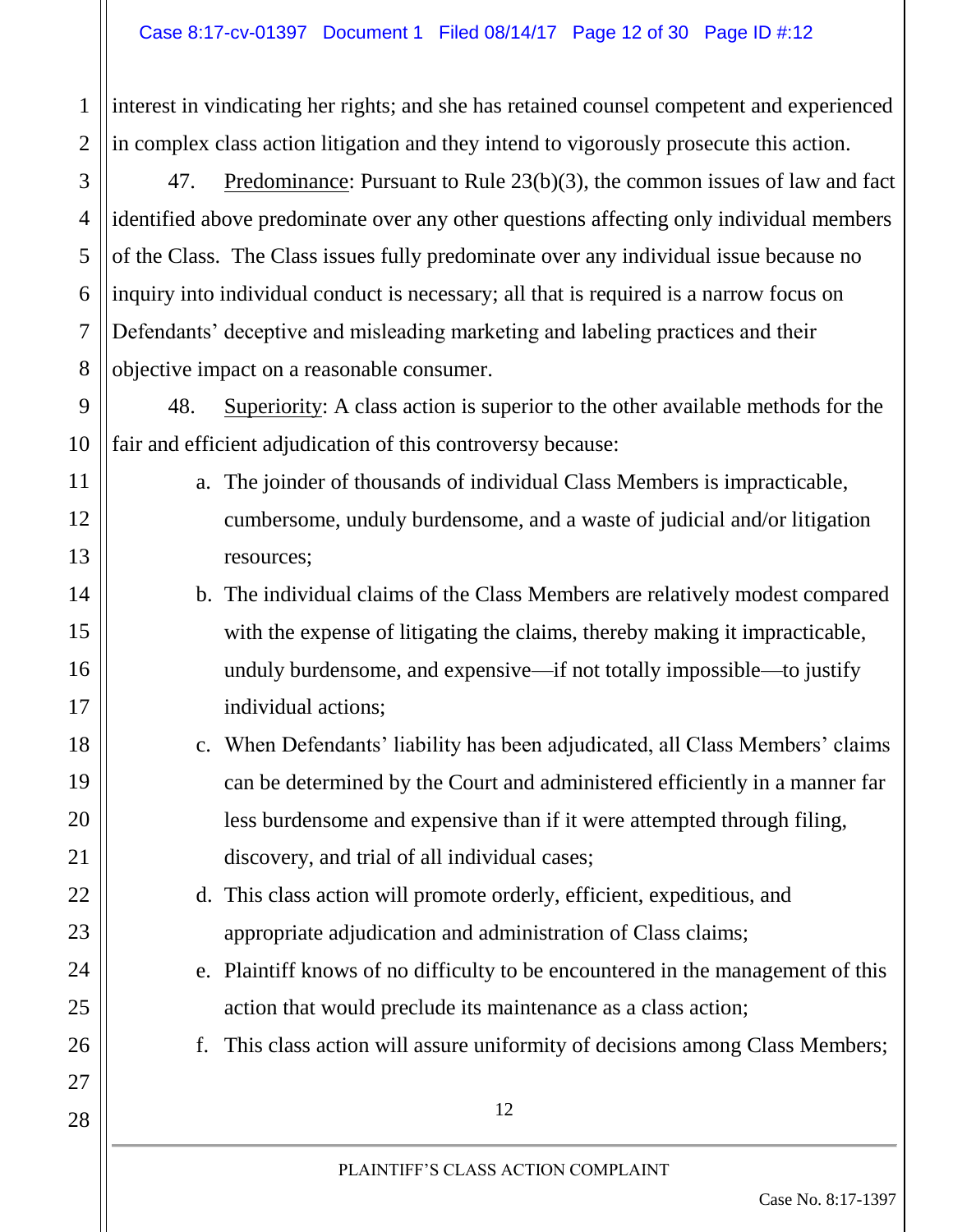1

2

3

4

5

6

7

8

9

10

11

12

13

14

15

16

17

18

19

20

21

22

23

24

25

26

27

28

interest in vindicating her rights; and she has retained counsel competent and experienced in complex class action litigation and they intend to vigorously prosecute this action.

47. Predominance: Pursuant to Rule 23(b)(3), the common issues of law and fact identified above predominate over any other questions affecting only individual members of the Class. The Class issues fully predominate over any individual issue because no inquiry into individual conduct is necessary; all that is required is a narrow focus on Defendants' deceptive and misleading marketing and labeling practices and their objective impact on a reasonable consumer.

48. Superiority: A class action is superior to the other available methods for the fair and efficient adjudication of this controversy because:

- a. The joinder of thousands of individual Class Members is impracticable, cumbersome, unduly burdensome, and a waste of judicial and/or litigation resources;
	- b. The individual claims of the Class Members are relatively modest compared with the expense of litigating the claims, thereby making it impracticable, unduly burdensome, and expensive—if not totally impossible—to justify individual actions;
- c. When Defendants' liability has been adjudicated, all Class Members' claims can be determined by the Court and administered efficiently in a manner far less burdensome and expensive than if it were attempted through filing, discovery, and trial of all individual cases;
	- d. This class action will promote orderly, efficient, expeditious, and appropriate adjudication and administration of Class claims;
	- e. Plaintiff knows of no difficulty to be encountered in the management of this action that would preclude its maintenance as a class action;
	- f. This class action will assure uniformity of decisions among Class Members;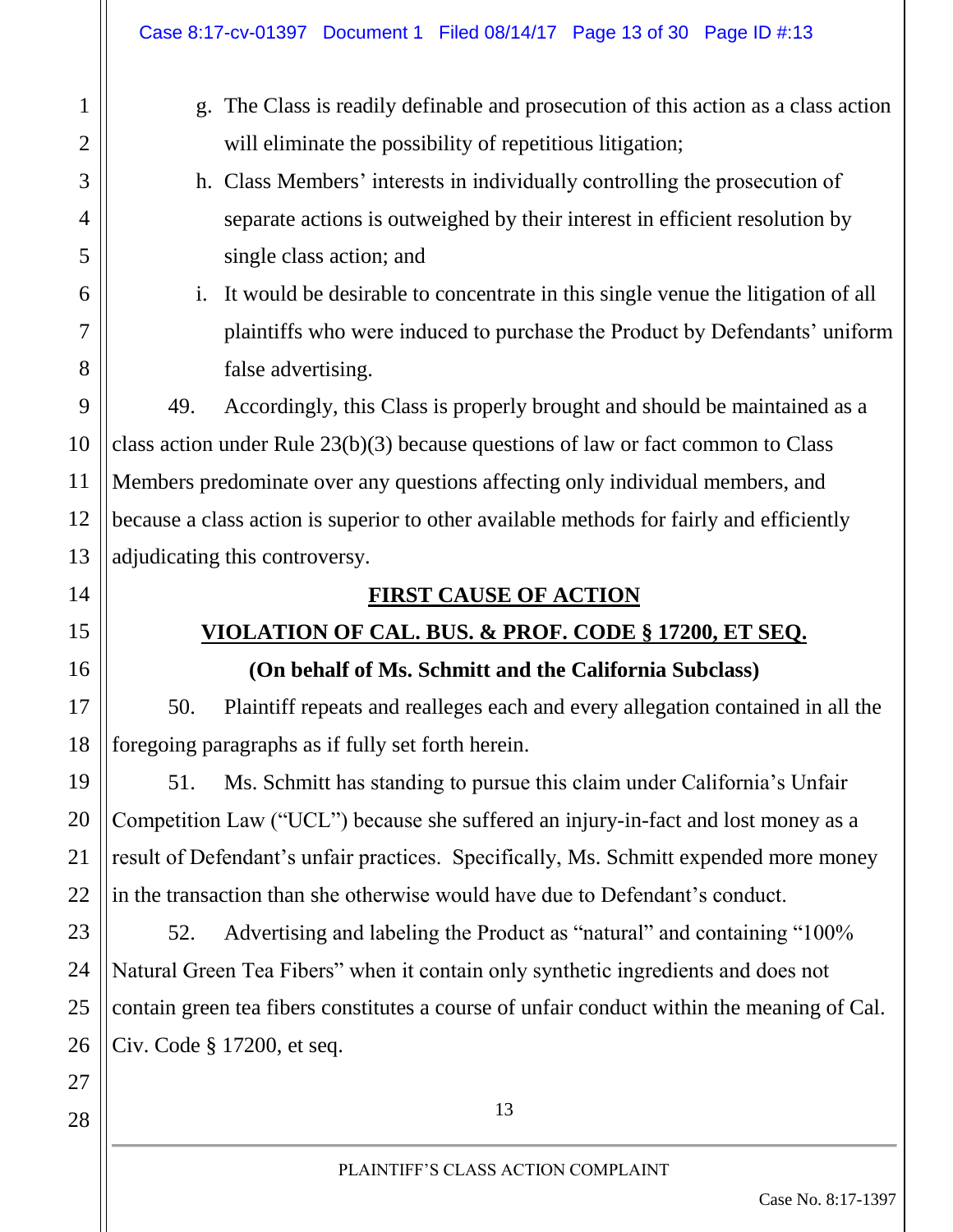|                | Case 8:17-cv-01397 Document 1 Filed 08/14/17 Page 13 of 30 Page ID #:13                           |  |  |
|----------------|---------------------------------------------------------------------------------------------------|--|--|
| 1              | The Class is readily definable and prosecution of this action as a class action<br>g <sub>1</sub> |  |  |
| $\overline{2}$ | will eliminate the possibility of repetitious litigation;                                         |  |  |
| 3              | h. Class Members' interests in individually controlling the prosecution of                        |  |  |
| 4              | separate actions is outweighed by their interest in efficient resolution by                       |  |  |
| 5              | single class action; and                                                                          |  |  |
| 6              | It would be desirable to concentrate in this single venue the litigation of all<br>$\mathbf{1}$ . |  |  |
| 7              | plaintiffs who were induced to purchase the Product by Defendants' uniform                        |  |  |
| 8              | false advertising.                                                                                |  |  |
| 9              | 49.<br>Accordingly, this Class is properly brought and should be maintained as a                  |  |  |
| 10             | class action under Rule $23(b)(3)$ because questions of law or fact common to Class               |  |  |
| 11             | Members predominate over any questions affecting only individual members, and                     |  |  |
| 12             | because a class action is superior to other available methods for fairly and efficiently          |  |  |
| 13             | adjudicating this controversy.                                                                    |  |  |
| 14             | <b>FIRST CAUSE OF ACTION</b>                                                                      |  |  |
| 15             | <u>VIOLATION OF CAL. BUS. &amp; PROF. CODE § 17200, ET SEQ.</u>                                   |  |  |
| 16             | (On behalf of Ms. Schmitt and the California Subclass)                                            |  |  |
| 17             | 50.<br>Plaintiff repeats and realleges each and every allegation contained in all the             |  |  |
| 18             | foregoing paragraphs as if fully set forth herein.                                                |  |  |
| 19             | Ms. Schmitt has standing to pursue this claim under California's Unfair<br>51.                    |  |  |
| 20             | Competition Law ("UCL") because she suffered an injury-in-fact and lost money as a                |  |  |
| 21             | result of Defendant's unfair practices. Specifically, Ms. Schmitt expended more money             |  |  |
| 22             | in the transaction than she otherwise would have due to Defendant's conduct.                      |  |  |
| 23             | Advertising and labeling the Product as "natural" and containing "100%<br>52.                     |  |  |
| 24             | Natural Green Tea Fibers" when it contain only synthetic ingredients and does not                 |  |  |
| 25             | contain green tea fibers constitutes a course of unfair conduct within the meaning of Cal.        |  |  |
| 26             | Civ. Code § 17200, et seq.                                                                        |  |  |
| 27             |                                                                                                   |  |  |
| 28             | 13                                                                                                |  |  |
|                | PLAINTIFF'S CLASS ACTION COMPLAINT                                                                |  |  |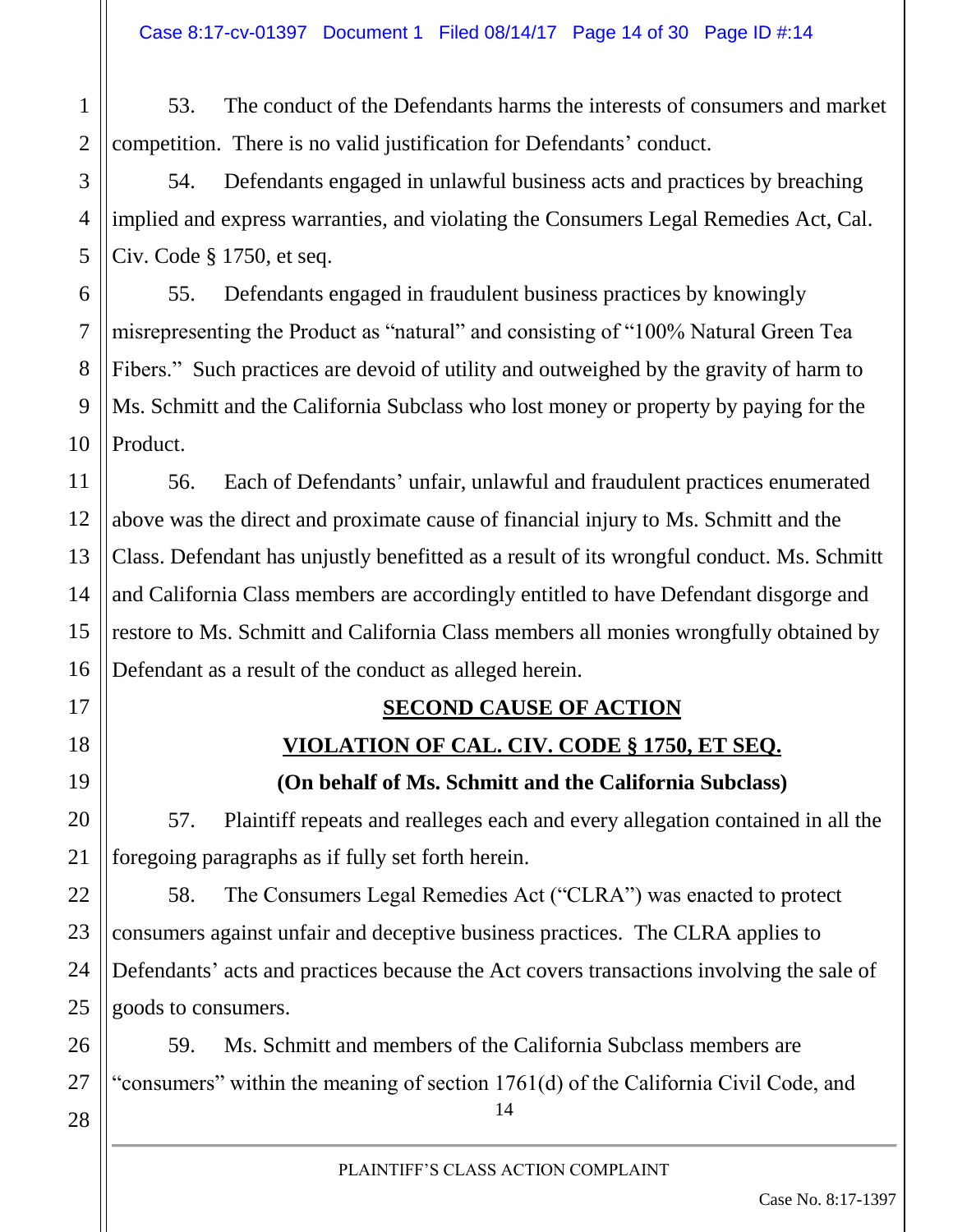53. The conduct of the Defendants harms the interests of consumers and market competition. There is no valid justification for Defendants' conduct.

54. Defendants engaged in unlawful business acts and practices by breaching implied and express warranties, and violating the Consumers Legal Remedies Act, Cal. Civ. Code § 1750, et seq.

55. Defendants engaged in fraudulent business practices by knowingly misrepresenting the Product as "natural" and consisting of "100% Natural Green Tea Fibers." Such practices are devoid of utility and outweighed by the gravity of harm to Ms. Schmitt and the California Subclass who lost money or property by paying for the Product.

56. Each of Defendants' unfair, unlawful and fraudulent practices enumerated above was the direct and proximate cause of financial injury to Ms. Schmitt and the Class. Defendant has unjustly benefitted as a result of its wrongful conduct. Ms. Schmitt and California Class members are accordingly entitled to have Defendant disgorge and restore to Ms. Schmitt and California Class members all monies wrongfully obtained by Defendant as a result of the conduct as alleged herein.

#### **SECOND CAUSE OF ACTION**

#### **VIOLATION OF CAL. CIV. CODE § 1750, ET SEQ.**

#### **(On behalf of Ms. Schmitt and the California Subclass)**

57. Plaintiff repeats and realleges each and every allegation contained in all the foregoing paragraphs as if fully set forth herein.

58. The Consumers Legal Remedies Act ("CLRA") was enacted to protect consumers against unfair and deceptive business practices. The CLRA applies to Defendants' acts and practices because the Act covers transactions involving the sale of goods to consumers.

14 59. Ms. Schmitt and members of the California Subclass members are "consumers" within the meaning of section 1761(d) of the California Civil Code, and

1

2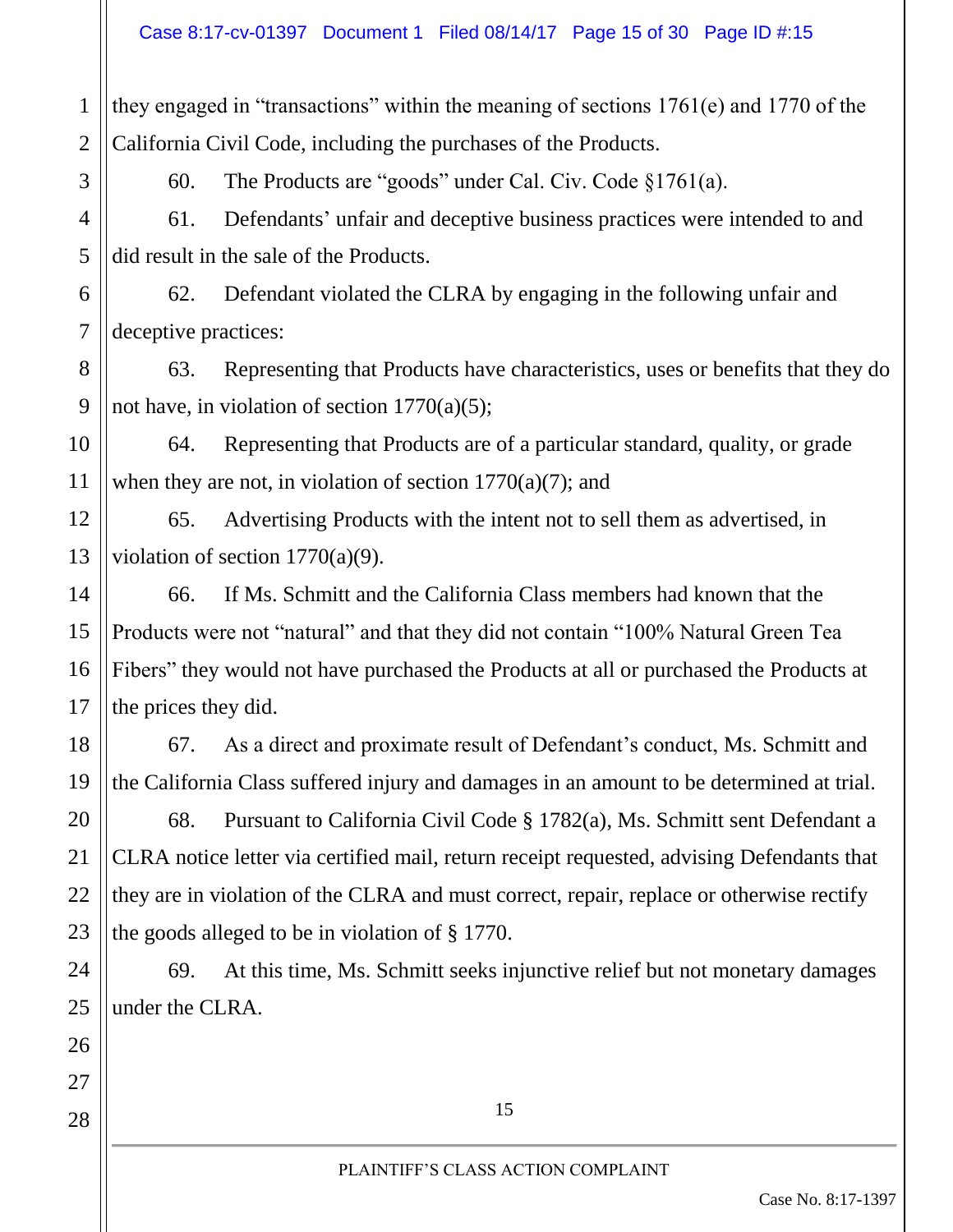they engaged in "transactions" within the meaning of sections 1761(e) and 1770 of the California Civil Code, including the purchases of the Products.

1

2

3

4

5

6

7

8

9

10

11

14

15

16

17

18

19

20

21

22

23

24

25

26

60. The Products are "goods" under Cal. Civ. Code §1761(a).

61. Defendants' unfair and deceptive business practices were intended to and did result in the sale of the Products.

62. Defendant violated the CLRA by engaging in the following unfair and deceptive practices:

63. Representing that Products have characteristics, uses or benefits that they do not have, in violation of section 1770(a)(5);

64. Representing that Products are of a particular standard, quality, or grade when they are not, in violation of section  $1770(a)(7)$ ; and

12 13 65. Advertising Products with the intent not to sell them as advertised, in violation of section 1770(a)(9).

66. If Ms. Schmitt and the California Class members had known that the Products were not "natural" and that they did not contain "100% Natural Green Tea Fibers" they would not have purchased the Products at all or purchased the Products at the prices they did.

67. As a direct and proximate result of Defendant's conduct, Ms. Schmitt and the California Class suffered injury and damages in an amount to be determined at trial.

68. Pursuant to California Civil Code § 1782(a), Ms. Schmitt sent Defendant a CLRA notice letter via certified mail, return receipt requested, advising Defendants that they are in violation of the CLRA and must correct, repair, replace or otherwise rectify the goods alleged to be in violation of § 1770.

69. At this time, Ms. Schmitt seeks injunctive relief but not monetary damages under the CLRA.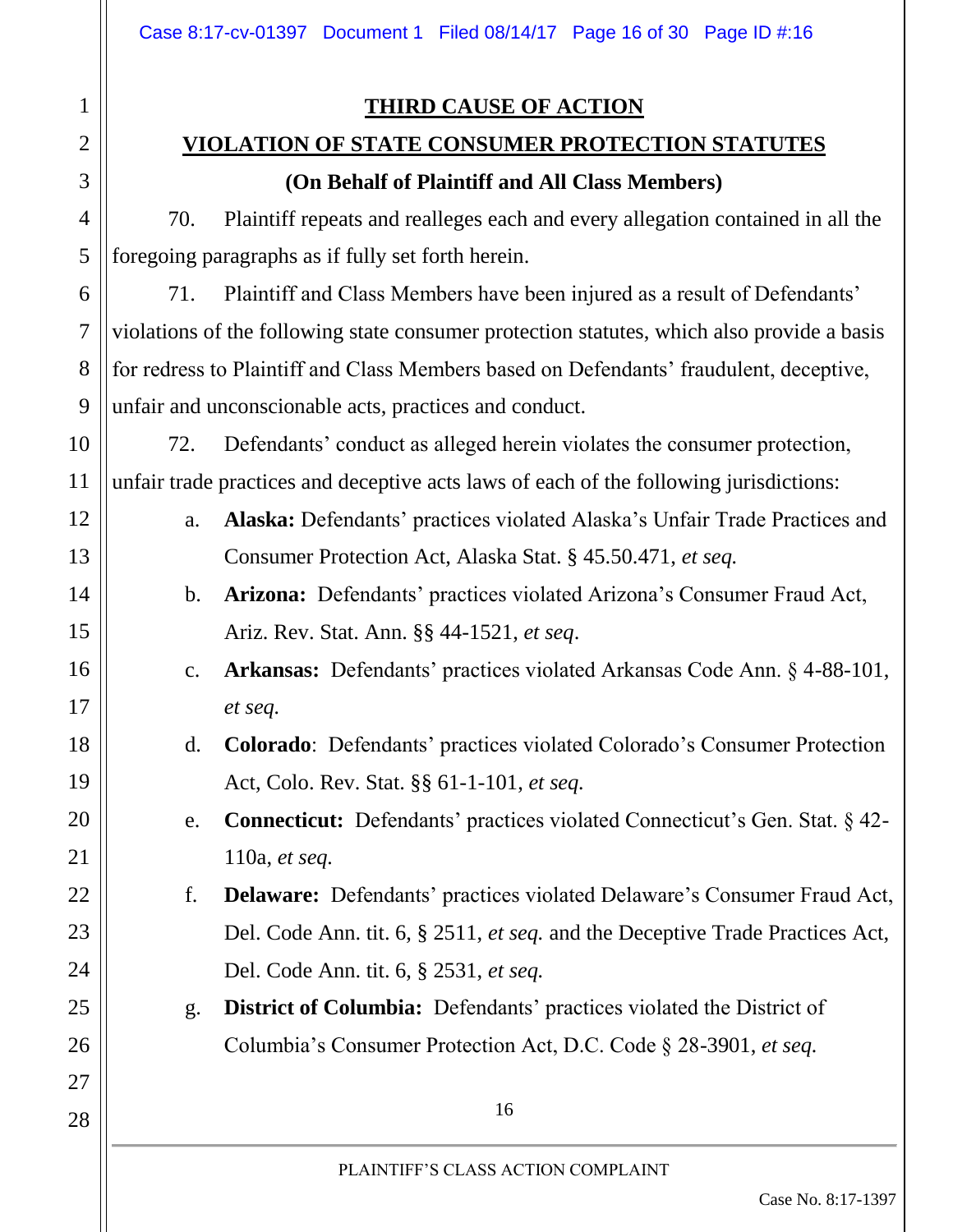### **THIRD CAUSE OF ACTION**

# **VIOLATION OF STATE CONSUMER PROTECTION STATUTES**

#### **(On Behalf of Plaintiff and All Class Members)**

70. Plaintiff repeats and realleges each and every allegation contained in all the foregoing paragraphs as if fully set forth herein.

71. Plaintiff and Class Members have been injured as a result of Defendants' violations of the following state consumer protection statutes, which also provide a basis for redress to Plaintiff and Class Members based on Defendants' fraudulent, deceptive, unfair and unconscionable acts, practices and conduct.

72. Defendants' conduct as alleged herein violates the consumer protection, unfair trade practices and deceptive acts laws of each of the following jurisdictions:

- a. **Alaska:** Defendants' practices violated Alaska's Unfair Trade Practices and Consumer Protection Act, Alaska Stat. § 45.50.471, *et seq.*
- b. **Arizona:** Defendants' practices violated Arizona's Consumer Fraud Act, Ariz. Rev. Stat. Ann. §§ 44-1521, *et seq*.
- c. **Arkansas:** Defendants' practices violated Arkansas Code Ann. § 4-88-101, *et seq.*
- d. **Colorado**: Defendants' practices violated Colorado's Consumer Protection Act, Colo. Rev. Stat. §§ 61-1-101, *et seq.*
	- e. **Connecticut:** Defendants' practices violated Connecticut's Gen. Stat. § 42- 110a, *et seq.*
- f. **Delaware:** Defendants' practices violated Delaware's Consumer Fraud Act, Del. Code Ann. tit. 6, § 2511, *et seq.* and the Deceptive Trade Practices Act, Del. Code Ann. tit. 6, § 2531, *et seq.*
	- g. **District of Columbia:** Defendants' practices violated the District of Columbia's Consumer Protection Act, D.C. Code § 28-3901, *et seq.*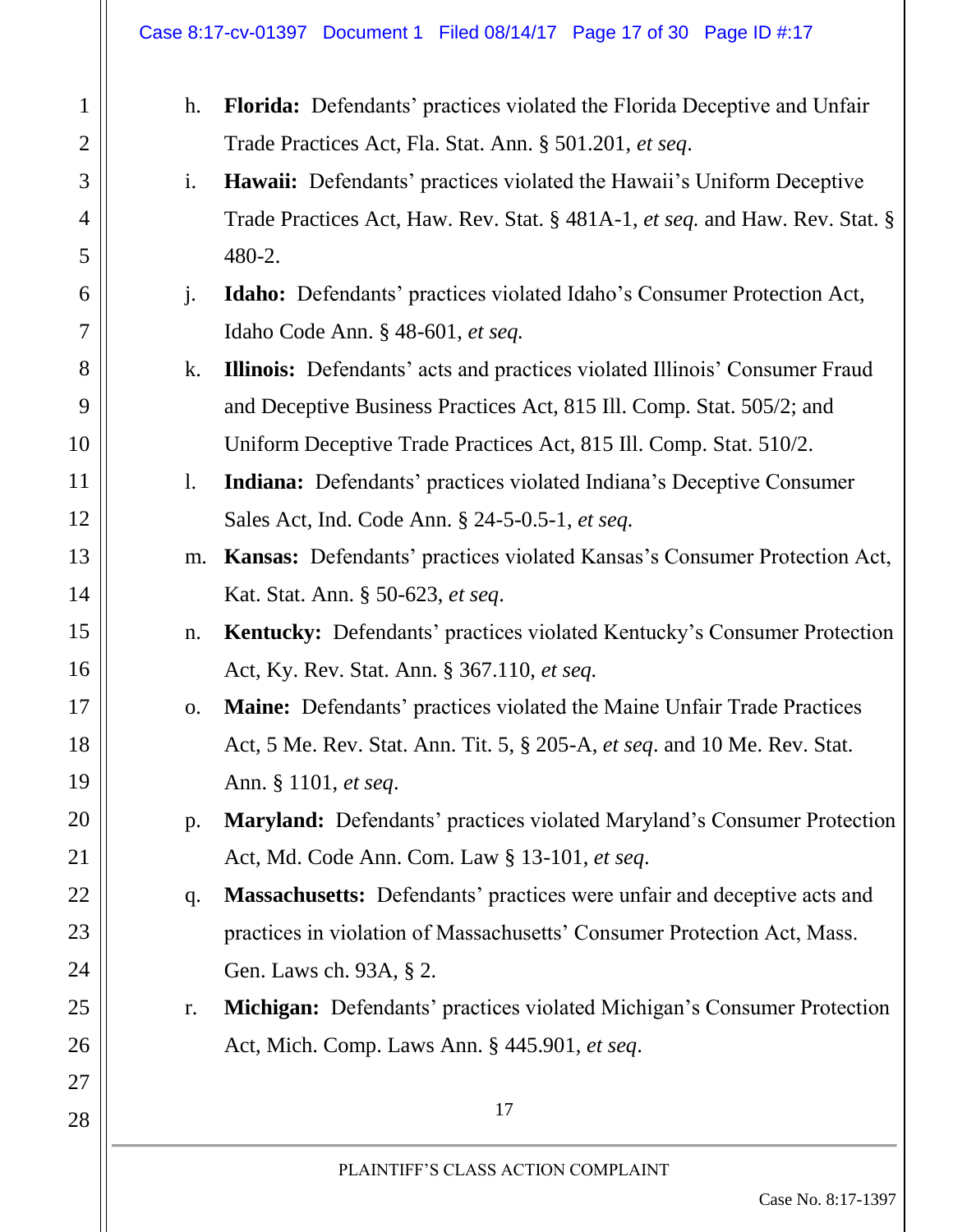#### Case 8:17-cv-01397 Document 1 Filed 08/14/17 Page 17 of 30 Page ID #:17

1

2

3

4

5

6

7

8

9

10

11

12

13

14

15

16

17

18

19

20

21

22

23

24

25

26

27

| h. | Florida: Defendants' practices violated the Florida Deceptive and Unfair          |  |  |
|----|-----------------------------------------------------------------------------------|--|--|
|    | Trade Practices Act, Fla. Stat. Ann. § 501.201, et seq.                           |  |  |
| i. | <b>Hawaii:</b> Defendants' practices violated the Hawaii's Uniform Deceptive      |  |  |
|    | Trade Practices Act, Haw. Rev. Stat. § 481A-1, et seq. and Haw. Rev. Stat. §      |  |  |
|    | 480-2.                                                                            |  |  |
| j. | Idaho: Defendants' practices violated Idaho's Consumer Protection Act,            |  |  |
|    | Idaho Code Ann. § 48-601, et seq.                                                 |  |  |
| k. | <b>Illinois:</b> Defendants' acts and practices violated Illinois' Consumer Fraud |  |  |
|    | and Deceptive Business Practices Act, 815 Ill. Comp. Stat. 505/2; and             |  |  |
|    | Uniform Deceptive Trade Practices Act, 815 Ill. Comp. Stat. 510/2.                |  |  |
| 1. | <b>Indiana:</b> Defendants' practices violated Indiana's Deceptive Consumer       |  |  |
|    | Sales Act, Ind. Code Ann. § 24-5-0.5-1, et seq.                                   |  |  |
| m. | Kansas: Defendants' practices violated Kansas's Consumer Protection Act,          |  |  |
|    | Kat. Stat. Ann. § 50-623, et seq.                                                 |  |  |
| n. | Kentucky: Defendants' practices violated Kentucky's Consumer Protection           |  |  |
|    | Act, Ky. Rev. Stat. Ann. § 367.110, et seq.                                       |  |  |
| 0. | Maine: Defendants' practices violated the Maine Unfair Trade Practices            |  |  |
|    | Act, 5 Me. Rev. Stat. Ann. Tit. 5, § 205-A, et seq. and 10 Me. Rev. Stat.         |  |  |
|    | Ann. § 1101, et seq.                                                              |  |  |
| p. | <b>Maryland:</b> Defendants' practices violated Maryland's Consumer Protection    |  |  |
|    | Act, Md. Code Ann. Com. Law § 13-101, et seq.                                     |  |  |
| q. | <b>Massachusetts:</b> Defendants' practices were unfair and deceptive acts and    |  |  |
|    | practices in violation of Massachusetts' Consumer Protection Act, Mass.           |  |  |
|    | Gen. Laws ch. 93A, § 2.                                                           |  |  |
| r. | <b>Michigan:</b> Defendants' practices violated Michigan's Consumer Protection    |  |  |
|    | Act, Mich. Comp. Laws Ann. § 445.901, et seq.                                     |  |  |
|    | 17                                                                                |  |  |
|    | PLAINTIFF'S CLASS ACTION COMPLAINT                                                |  |  |
|    | Case No. 8:17-1397                                                                |  |  |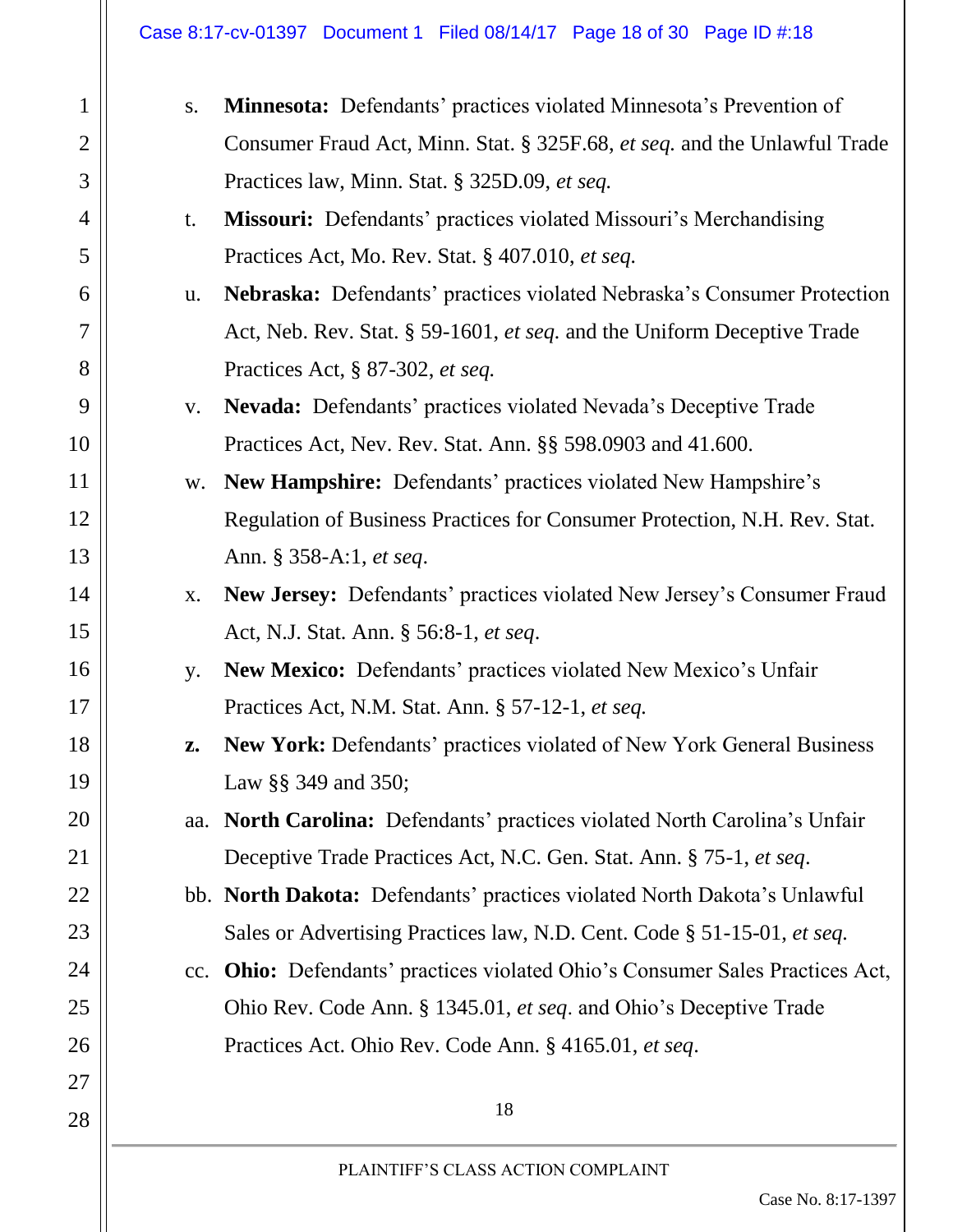#### Case 8:17-cv-01397 Document 1 Filed 08/14/17 Page 18 of 30 Page ID #:18

| 1                        |
|--------------------------|
| $\overline{c}$           |
| 3                        |
| $\overline{\mathcal{A}}$ |
| 5                        |
| 6                        |
| $\overline{7}$           |
| 8                        |
| 9                        |
| 10                       |
| 11                       |
| 12                       |
| 13                       |
| 14                       |
| 15                       |
| 16                       |
| 17                       |
| 18                       |
| 1 <sup>0</sup>           |
| $\Omega$                 |
| 21                       |
|                          |
|                          |
| 24                       |
| 25                       |
|                          |
| 26                       |
| 27                       |
| 28                       |

| S.  | <b>Minnesota:</b> Defendants' practices violated Minnesota's Prevention of       |
|-----|----------------------------------------------------------------------------------|
|     | Consumer Fraud Act, Minn. Stat. § 325F.68, et seq. and the Unlawful Trade        |
|     | Practices law, Minn. Stat. § 325D.09, et seq.                                    |
| t.  | <b>Missouri:</b> Defendants' practices violated Missouri's Merchandising         |
|     | Practices Act, Mo. Rev. Stat. § 407.010, et seq.                                 |
| u.  | Nebraska: Defendants' practices violated Nebraska's Consumer Protection          |
|     | Act, Neb. Rev. Stat. § 59-1601, et seq. and the Uniform Deceptive Trade          |
|     | Practices Act, § 87-302, et seq.                                                 |
| V.  | Nevada: Defendants' practices violated Nevada's Deceptive Trade                  |
|     | Practices Act, Nev. Rev. Stat. Ann. §§ 598.0903 and 41.600.                      |
| W.  | New Hampshire: Defendants' practices violated New Hampshire's                    |
|     | Regulation of Business Practices for Consumer Protection, N.H. Rev. Stat.        |
|     | Ann. § 358-A:1, et seq.                                                          |
| X.  | New Jersey: Defendants' practices violated New Jersey's Consumer Fraud           |
|     | Act, N.J. Stat. Ann. § 56:8-1, et seq.                                           |
| y.  | New Mexico: Defendants' practices violated New Mexico's Unfair                   |
|     | Practices Act, N.M. Stat. Ann. § 57-12-1, et seq.                                |
| Z.  | New York: Defendants' practices violated of New York General Business            |
|     | Law §§ 349 and 350;                                                              |
| aa. | North Carolina: Defendants' practices violated North Carolina's Unfair           |
|     | Deceptive Trade Practices Act, N.C. Gen. Stat. Ann. § 75-1, et seq.              |
|     | bb. North Dakota: Defendants' practices violated North Dakota's Unlawful         |
|     | Sales or Advertising Practices law, N.D. Cent. Code § 51-15-01, et seq.          |
| cc. | <b>Ohio:</b> Defendants' practices violated Ohio's Consumer Sales Practices Act, |
|     | Ohio Rev. Code Ann. § 1345.01, et seq. and Ohio's Deceptive Trade                |
|     | Practices Act. Ohio Rev. Code Ann. § 4165.01, et seq.                            |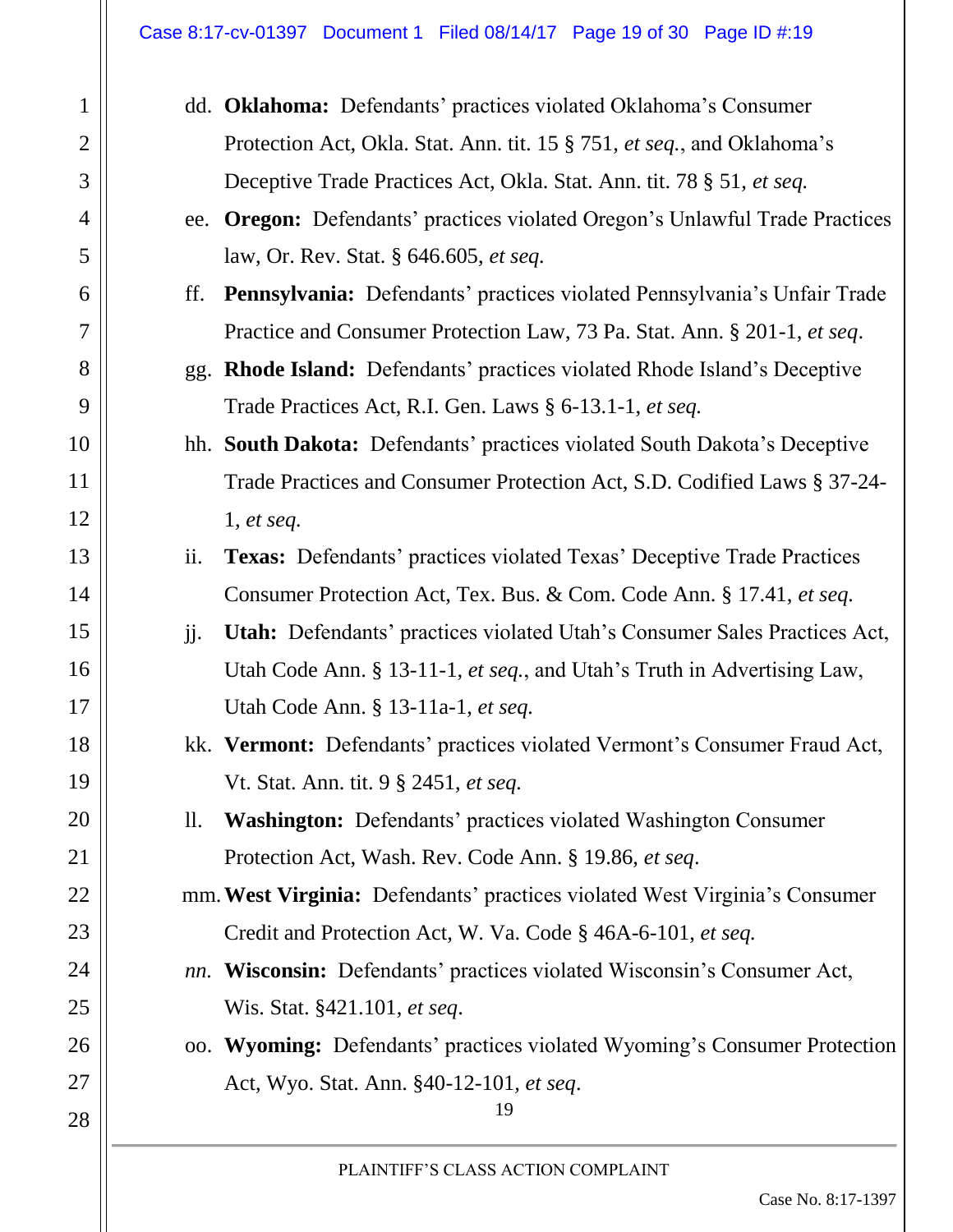#### Case 8:17-cv-01397 Document 1 Filed 08/14/17 Page 19 of 30 Page ID #:19

1

2

3

4

5

6

7

8

9

10

11

12

13

14

15

16

17

18

19

20

21

22

23

24

25

26

27

|     | dd. Oklahoma: Defendants' practices violated Oklahoma's Consumer                |
|-----|---------------------------------------------------------------------------------|
|     | Protection Act, Okla. Stat. Ann. tit. 15 § 751, et seq., and Oklahoma's         |
|     | Deceptive Trade Practices Act, Okla. Stat. Ann. tit. 78 § 51, et seq.           |
|     | ee. Oregon: Defendants' practices violated Oregon's Unlawful Trade Practices    |
|     | law, Or. Rev. Stat. § 646.605, et seq.                                          |
| ff. | <b>Pennsylvania:</b> Defendants' practices violated Pennsylvania's Unfair Trade |
|     | Practice and Consumer Protection Law, 73 Pa. Stat. Ann. § 201-1, et seq.        |
|     | gg. Rhode Island: Defendants' practices violated Rhode Island's Deceptive       |
|     | Trade Practices Act, R.I. Gen. Laws § 6-13.1-1, et seq.                         |
|     | hh. South Dakota: Defendants' practices violated South Dakota's Deceptive       |
|     | Trade Practices and Consumer Protection Act, S.D. Codified Laws § 37-24-        |
|     | 1, et seq.                                                                      |
| ii. | <b>Texas:</b> Defendants' practices violated Texas' Deceptive Trade Practices   |
|     | Consumer Protection Act, Tex. Bus. & Com. Code Ann. § 17.41, et seq.            |
| jj. | Utah: Defendants' practices violated Utah's Consumer Sales Practices Act,       |
|     | Utah Code Ann. § 13-11-1, et seq., and Utah's Truth in Advertising Law,         |
|     | Utah Code Ann. § 13-11a-1, et seq.                                              |
|     | kk. Vermont: Defendants' practices violated Vermont's Consumer Fraud Act,       |
|     | Vt. Stat. Ann. tit. 9 § 2451, et seq.                                           |
| 11. | <b>Washington:</b> Defendants' practices violated Washington Consumer           |
|     | Protection Act, Wash. Rev. Code Ann. § 19.86, et seq.                           |
|     | mm. West Virginia: Defendants' practices violated West Virginia's Consumer      |
|     | Credit and Protection Act, W. Va. Code § 46A-6-101, et seq.                     |
|     | <i>nn.</i> Wisconsin: Defendants' practices violated Wisconsin's Consumer Act,  |
|     | Wis. Stat. §421.101, et seq.                                                    |
|     | oo. Wyoming: Defendants' practices violated Wyoming's Consumer Protection       |
|     | Act, Wyo. Stat. Ann. §40-12-101, et seq.<br>19                                  |
|     | PLAINTIFF'S CLASS ACTION COMPLAINT                                              |
|     | Case No. 8:17-1397                                                              |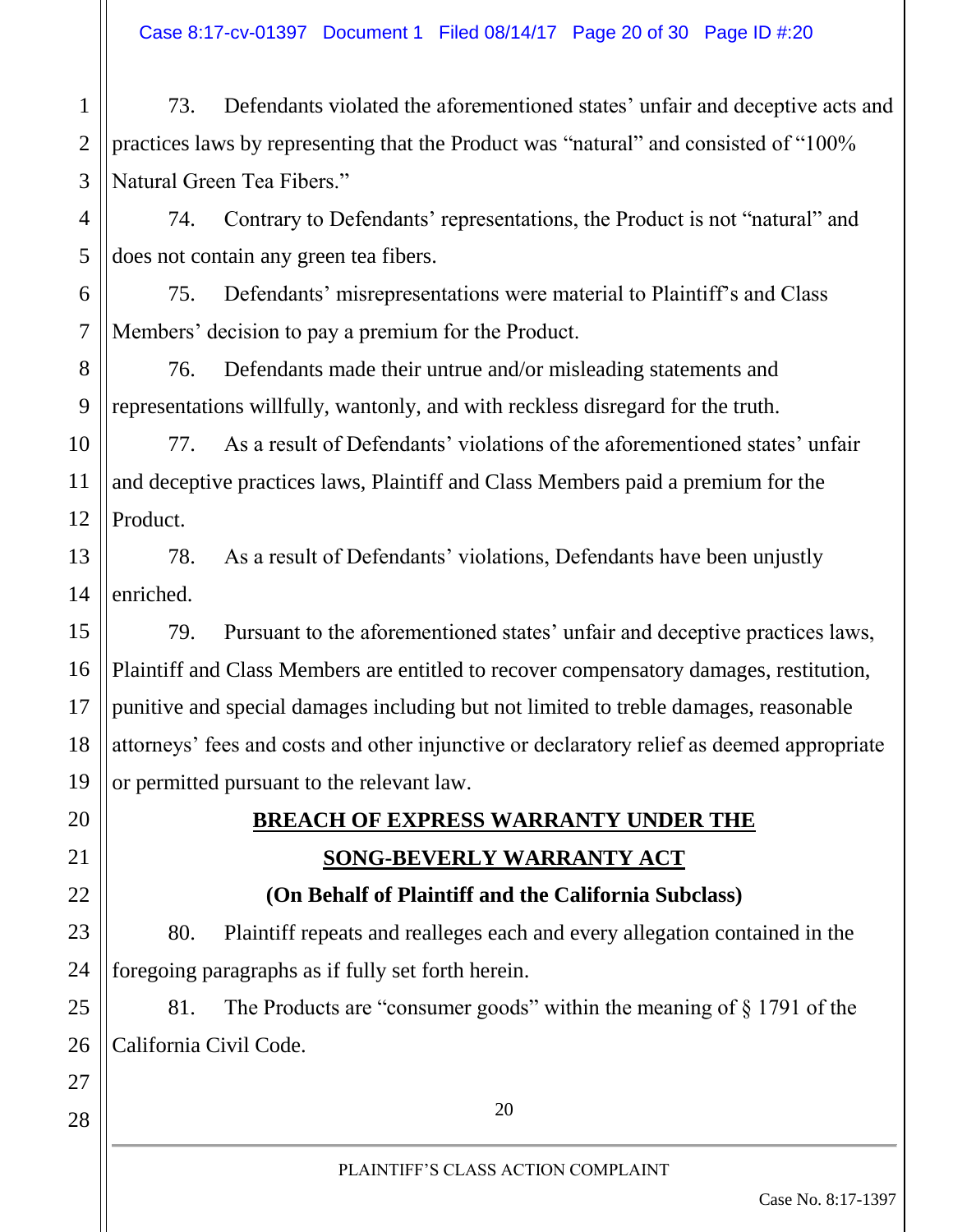Case 8:17-cv-01397 Document 1 Filed 08/14/17 Page 20 of 30 Page ID #:20

1 2 3 73. Defendants violated the aforementioned states' unfair and deceptive acts and practices laws by representing that the Product was "natural" and consisted of "100% Natural Green Tea Fibers."

74. Contrary to Defendants' representations, the Product is not "natural" and does not contain any green tea fibers.

75. Defendants' misrepresentations were material to Plaintiff's and Class Members' decision to pay a premium for the Product.

8 76. Defendants made their untrue and/or misleading statements and representations willfully, wantonly, and with reckless disregard for the truth.

4

5

6

7

9

17

18

19

20

21

22

23

24

25

26

27

28

10 11 12 77. As a result of Defendants' violations of the aforementioned states' unfair and deceptive practices laws, Plaintiff and Class Members paid a premium for the Product.

13 14 78. As a result of Defendants' violations, Defendants have been unjustly enriched.

15 16 79. Pursuant to the aforementioned states' unfair and deceptive practices laws, Plaintiff and Class Members are entitled to recover compensatory damages, restitution, punitive and special damages including but not limited to treble damages, reasonable attorneys' fees and costs and other injunctive or declaratory relief as deemed appropriate or permitted pursuant to the relevant law.

# **BREACH OF EXPRESS WARRANTY UNDER THE SONG-BEVERLY WARRANTY ACT**

**(On Behalf of Plaintiff and the California Subclass)**

80. Plaintiff repeats and realleges each and every allegation contained in the foregoing paragraphs as if fully set forth herein.

81. The Products are "consumer goods" within the meaning of § 1791 of the California Civil Code.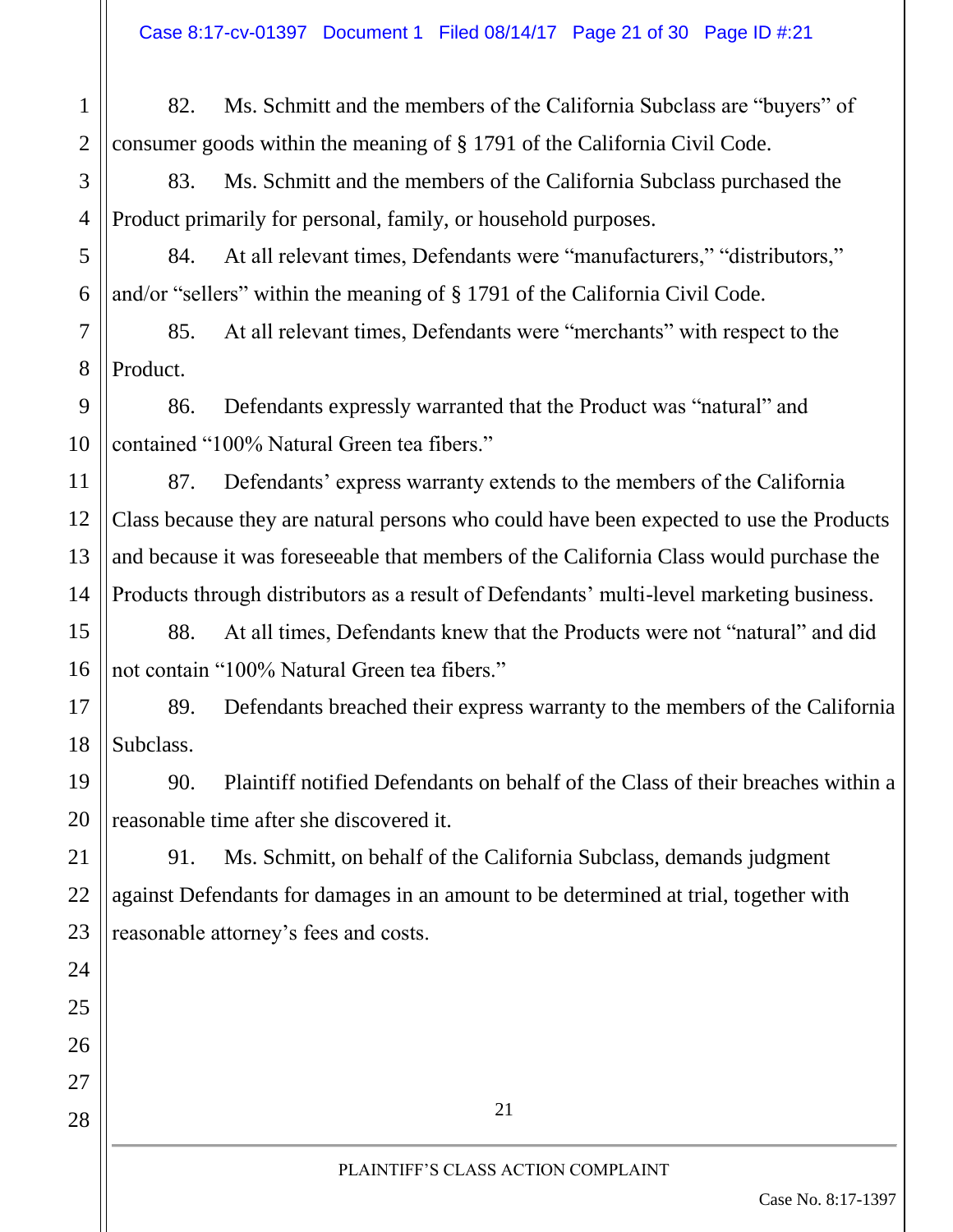1 2 82. Ms. Schmitt and the members of the California Subclass are "buyers" of consumer goods within the meaning of § 1791 of the California Civil Code.

83. Ms. Schmitt and the members of the California Subclass purchased the Product primarily for personal, family, or household purposes.

3

4

5

6

11

12

13

14

15

16

17

18

19

20

21

22

23

24

25

26

27

28

84. At all relevant times, Defendants were "manufacturers," "distributors," and/or "sellers" within the meaning of § 1791 of the California Civil Code.

7 8 85. At all relevant times, Defendants were "merchants" with respect to the Product.

9 10 86. Defendants expressly warranted that the Product was "natural" and contained "100% Natural Green tea fibers."

87. Defendants' express warranty extends to the members of the California Class because they are natural persons who could have been expected to use the Products and because it was foreseeable that members of the California Class would purchase the Products through distributors as a result of Defendants' multi-level marketing business.

88. At all times, Defendants knew that the Products were not "natural" and did not contain "100% Natural Green tea fibers."

89. Defendants breached their express warranty to the members of the California Subclass.

90. Plaintiff notified Defendants on behalf of the Class of their breaches within a reasonable time after she discovered it.

91. Ms. Schmitt, on behalf of the California Subclass, demands judgment against Defendants for damages in an amount to be determined at trial, together with reasonable attorney's fees and costs.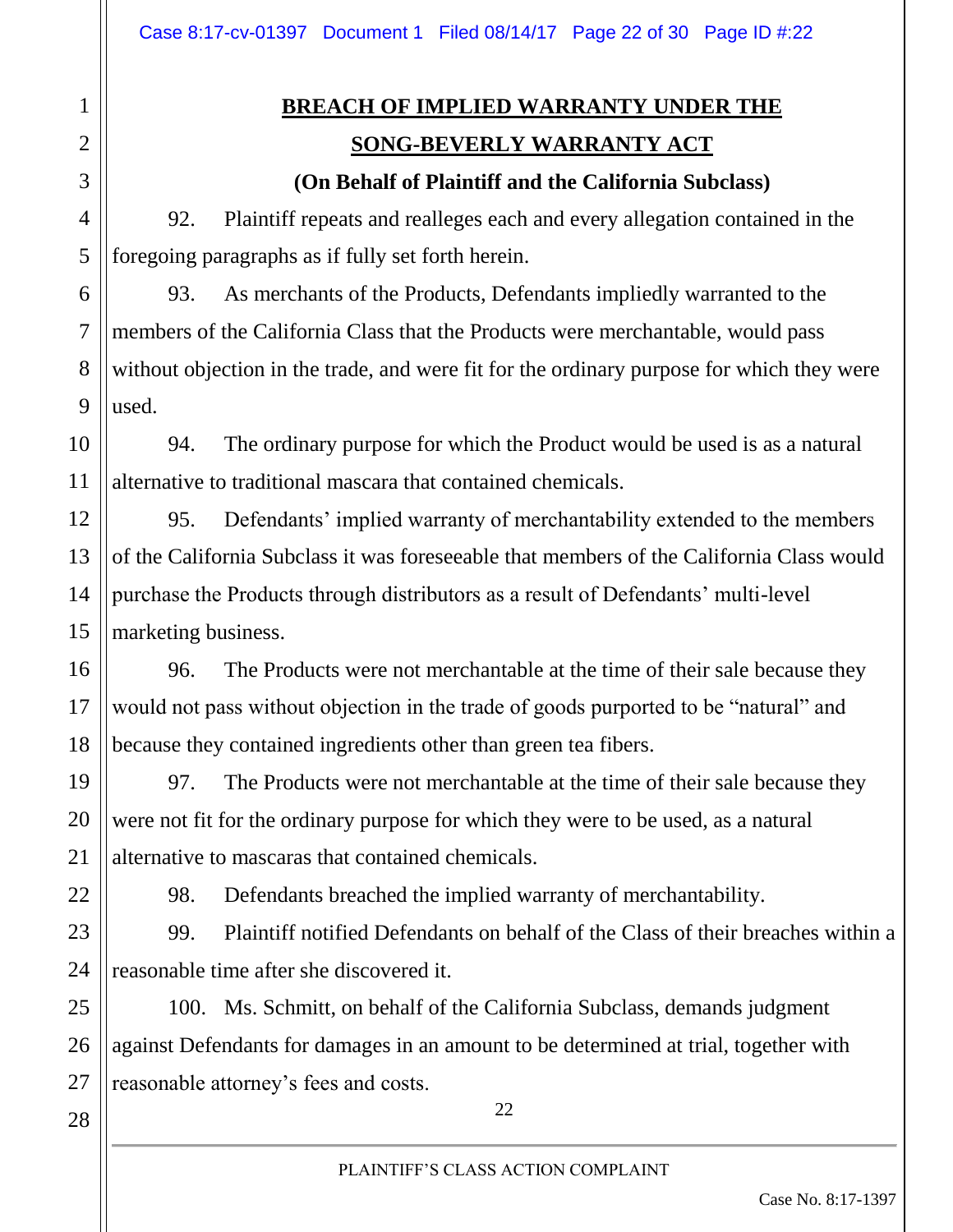# **BREACH OF IMPLIED WARRANTY UNDER THE SONG-BEVERLY WARRANTY ACT**

**(On Behalf of Plaintiff and the California Subclass)**

92. Plaintiff repeats and realleges each and every allegation contained in the foregoing paragraphs as if fully set forth herein.

93. As merchants of the Products, Defendants impliedly warranted to the members of the California Class that the Products were merchantable, would pass without objection in the trade, and were fit for the ordinary purpose for which they were used.

94. The ordinary purpose for which the Product would be used is as a natural alternative to traditional mascara that contained chemicals.

95. Defendants' implied warranty of merchantability extended to the members of the California Subclass it was foreseeable that members of the California Class would purchase the Products through distributors as a result of Defendants' multi-level marketing business.

96. The Products were not merchantable at the time of their sale because they would not pass without objection in the trade of goods purported to be "natural" and because they contained ingredients other than green tea fibers.

97. The Products were not merchantable at the time of their sale because they were not fit for the ordinary purpose for which they were to be used, as a natural alternative to mascaras that contained chemicals.

98. Defendants breached the implied warranty of merchantability.

99. Plaintiff notified Defendants on behalf of the Class of their breaches within a reasonable time after she discovered it.

25 26 100. Ms. Schmitt, on behalf of the California Subclass, demands judgment against Defendants for damages in an amount to be determined at trial, together with reasonable attorney's fees and costs.

28

27

1

2

3

4

5

6

7

8

9

10

11

12

13

14

15

16

17

18

19

20

21

22

23

24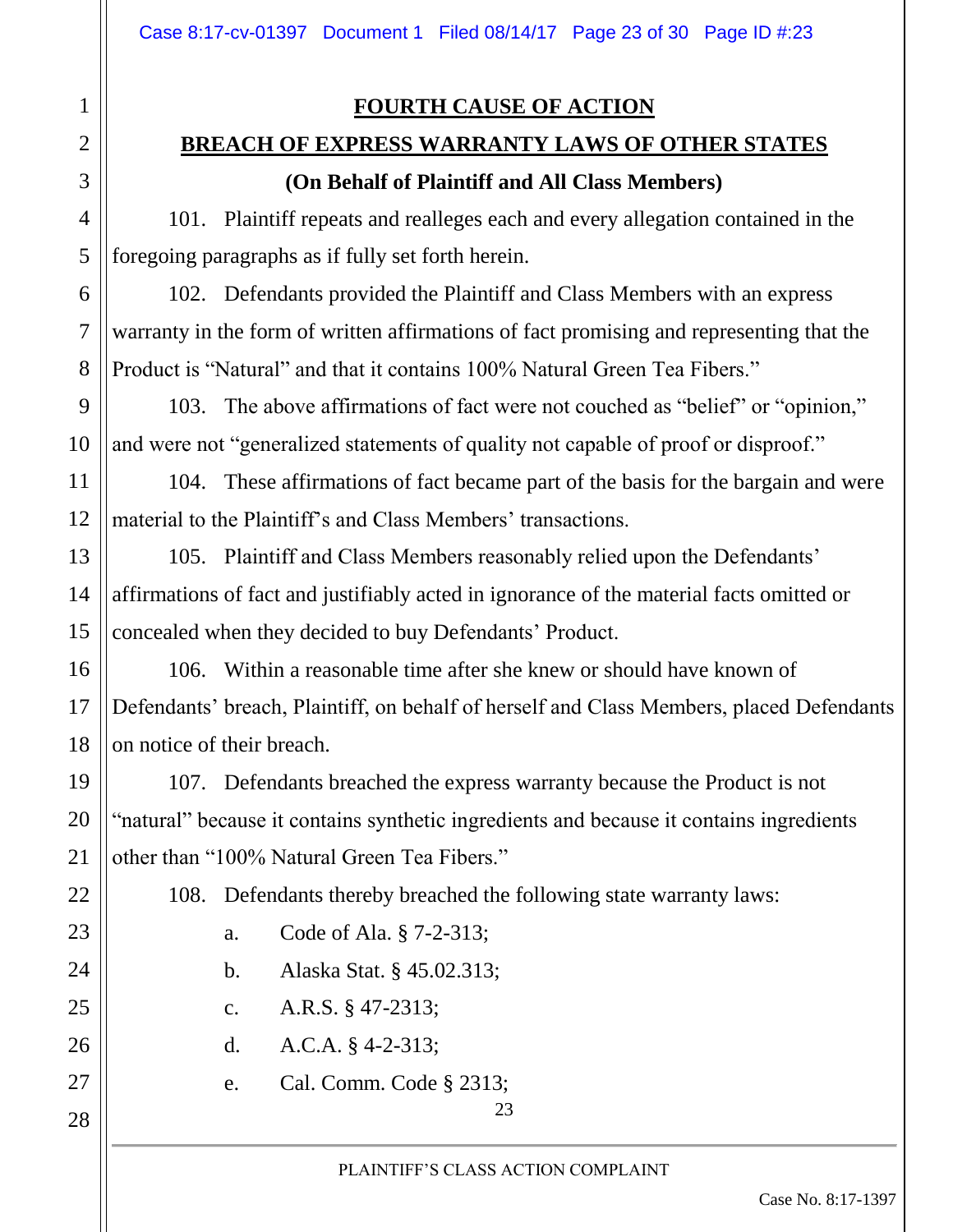1

2

3

4

5

6

7

8

9

10

11

12

13

14

15

16

17

18

19

20

21

22

23

24

25

26

27

28

# **BREACH OF EXPRESS WARRANTY LAWS OF OTHER STATES (On Behalf of Plaintiff and All Class Members)**

101. Plaintiff repeats and realleges each and every allegation contained in the foregoing paragraphs as if fully set forth herein.

102. Defendants provided the Plaintiff and Class Members with an express warranty in the form of written affirmations of fact promising and representing that the Product is "Natural" and that it contains 100% Natural Green Tea Fibers."

103. The above affirmations of fact were not couched as "belief" or "opinion," and were not "generalized statements of quality not capable of proof or disproof."

104. These affirmations of fact became part of the basis for the bargain and were material to the Plaintiff's and Class Members' transactions.

105. Plaintiff and Class Members reasonably relied upon the Defendants' affirmations of fact and justifiably acted in ignorance of the material facts omitted or concealed when they decided to buy Defendants' Product.

106. Within a reasonable time after she knew or should have known of Defendants' breach, Plaintiff, on behalf of herself and Class Members, placed Defendants on notice of their breach.

107. Defendants breached the express warranty because the Product is not "natural" because it contains synthetic ingredients and because it contains ingredients other than "100% Natural Green Tea Fibers."

108. Defendants thereby breached the following state warranty laws:

- a. Code of Ala. § 7-2-313;
- b. Alaska Stat. § 45.02.313;
- c. A.R.S. § 47-2313;
- d. A.C.A. § 4-2-313;
- e. Cal. Comm. Code § 2313;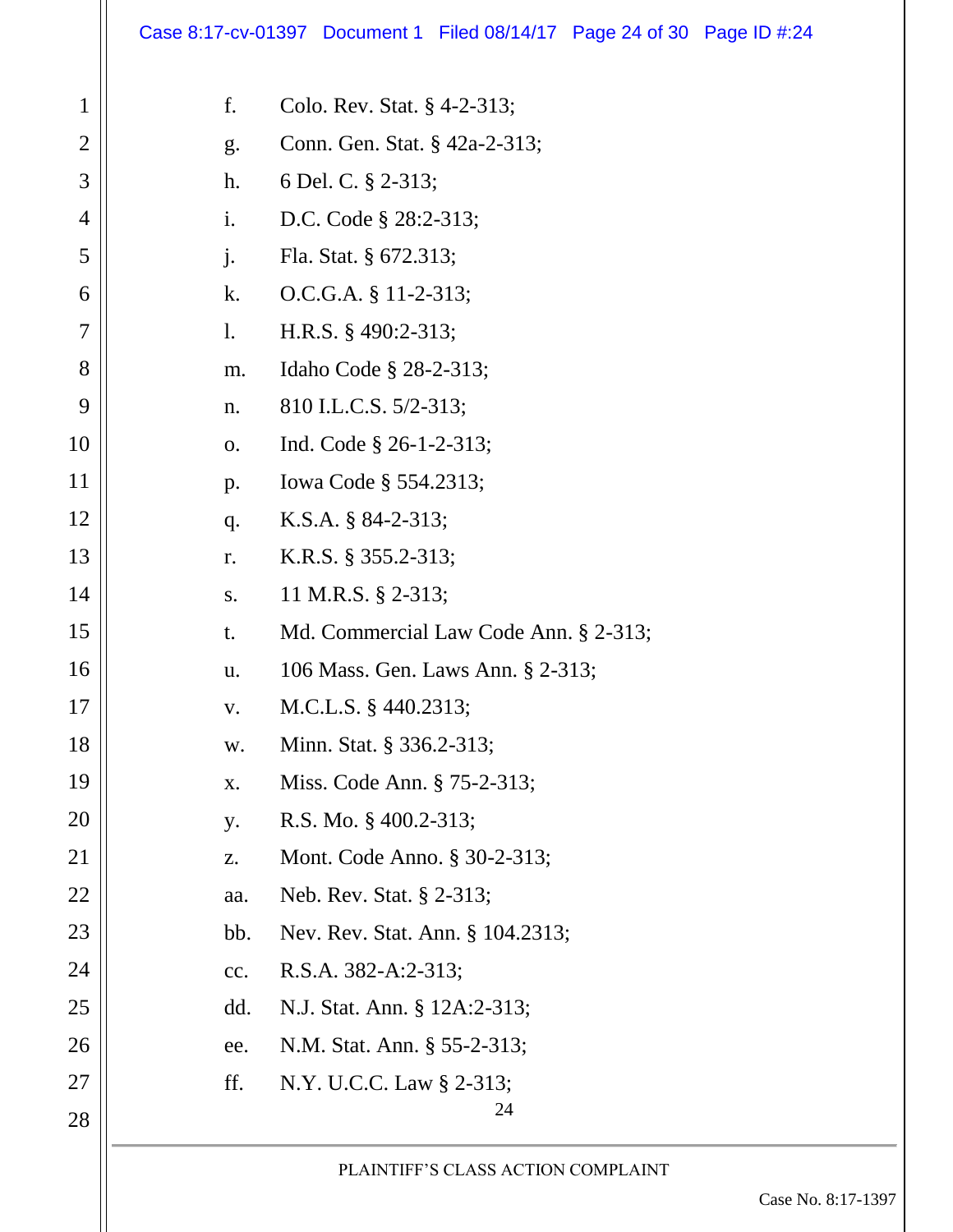# Case 8:17-cv-01397 Document 1 Filed 08/14/17 Page 24 of 30 Page ID #:24

| $\mathbf 1$    | f.  | Colo. Rev. Stat. § 4-2-313;           |
|----------------|-----|---------------------------------------|
| $\overline{2}$ | g.  | Conn. Gen. Stat. § 42a-2-313;         |
| 3              | h.  | 6 Del. C. § 2-313;                    |
| 4              | i.  | D.C. Code § 28:2-313;                 |
| 5              | j.  | Fla. Stat. § 672.313;                 |
| 6              | k.  | $O.C.G.A. § 11-2-313;$                |
| 7              | 1.  | H.R.S. § 490:2-313;                   |
| 8              | m.  | Idaho Code § 28-2-313;                |
| 9              | n.  | 810 I.L.C.S. 5/2-313;                 |
| 10             | 0.  | Ind. Code $\S$ 26-1-2-313;            |
| 11             | p.  | Iowa Code § 554.2313;                 |
| 12             | q.  | K.S.A. § 84-2-313;                    |
| 13             | r.  | K.R.S. § 355.2-313;                   |
| 14             | S.  | 11 M.R.S. § 2-313;                    |
| 15             | t.  | Md. Commercial Law Code Ann. § 2-313; |
| 16             | u.  | 106 Mass. Gen. Laws Ann. § 2-313;     |
| 17             | V.  | M.C.L.S. § 440.2313;                  |
| 18             | W.  | Minn. Stat. § 336.2-313;              |
| 19             | X.  | Miss. Code Ann. § 75-2-313;           |
| 20             | y.  | R.S. Mo. $\S$ 400.2-313;              |
| 21             | Z.  | Mont. Code Anno. § 30-2-313;          |
| 22             | aa. | Neb. Rev. Stat. § 2-313;              |
| 23             | bb. | Nev. Rev. Stat. Ann. § 104.2313;      |
| 24             | cc. | R.S.A. 382-A:2-313;                   |
| 25             | dd. | N.J. Stat. Ann. § 12A:2-313;          |
| 26             | ee. | N.M. Stat. Ann. § 55-2-313;           |
| 27             | ff. | N.Y. U.C.C. Law § 2-313;              |
| 28             |     | 24                                    |
|                |     | PLAINTIFF'S CLASS ACTION COMPLAINT    |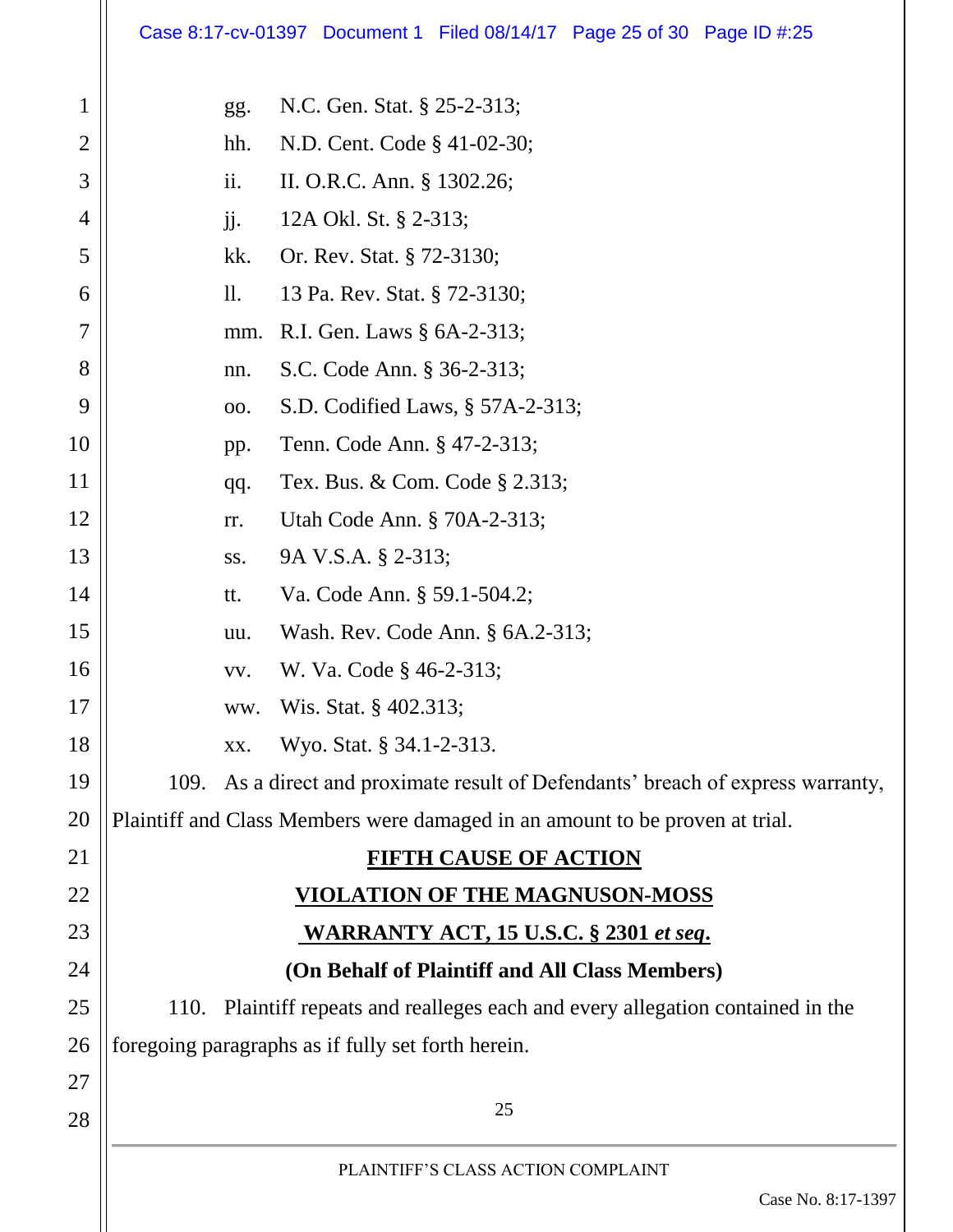# Case 8:17-cv-01397 Document 1 Filed 08/14/17 Page 25 of 30 Page ID #:25

| $\mathbf{1}$   | gg. | N.C. Gen. Stat. § 25-2-313;                                                      |
|----------------|-----|----------------------------------------------------------------------------------|
| $\overline{2}$ | hh. | N.D. Cent. Code § 41-02-30;                                                      |
| 3              | ii. | II. O.R.C. Ann. § 1302.26;                                                       |
| 4              | jj. | 12A Okl. St. § 2-313;                                                            |
| 5              | kk. | Or. Rev. Stat. § 72-3130;                                                        |
| 6              | 11. | 13 Pa. Rev. Stat. § 72-3130;                                                     |
| 7              | mm. | R.I. Gen. Laws § 6A-2-313;                                                       |
| 8              | nn. | S.C. Code Ann. § 36-2-313;                                                       |
| 9              | 00. | S.D. Codified Laws, § 57A-2-313;                                                 |
| 10             | pp. | Tenn. Code Ann. § 47-2-313;                                                      |
| 11             | qq. | Tex. Bus. & Com. Code § 2.313;                                                   |
| 12             | rr. | Utah Code Ann. § 70A-2-313;                                                      |
| 13             | SS. | 9A V.S.A. § 2-313;                                                               |
| 14             | tt. | Va. Code Ann. § 59.1-504.2;                                                      |
| 15             | uu. | Wash. Rev. Code Ann. § 6A.2-313;                                                 |
| 16             | VV. | W. Va. Code § 46-2-313;                                                          |
| 17             | ww. | Wis. Stat. § 402.313;                                                            |
| 18             | XX. | Wyo. Stat. § 34.1-2-313.                                                         |
| 19             |     | 109. As a direct and proximate result of Defendants' breach of express warranty, |
| 20             |     | Plaintiff and Class Members were damaged in an amount to be proven at trial.     |
| 21             |     | <b>FIFTH CAUSE OF ACTION</b>                                                     |
| 22             |     | <b>VIOLATION OF THE MAGNUSON-MOSS</b>                                            |
| 23             |     | <b>WARRANTY ACT, 15 U.S.C. § 2301 et seq.</b>                                    |
| 24             |     | (On Behalf of Plaintiff and All Class Members)                                   |
| 25             |     | 110. Plaintiff repeats and realleges each and every allegation contained in the  |
| 26             |     | foregoing paragraphs as if fully set forth herein.                               |
| 27             |     |                                                                                  |
| 28             |     | 25                                                                               |
|                |     | PLAINTIFF'S CLASS ACTION COMPLAINT                                               |
|                |     | Case No. 8:17-1397                                                               |
|                |     |                                                                                  |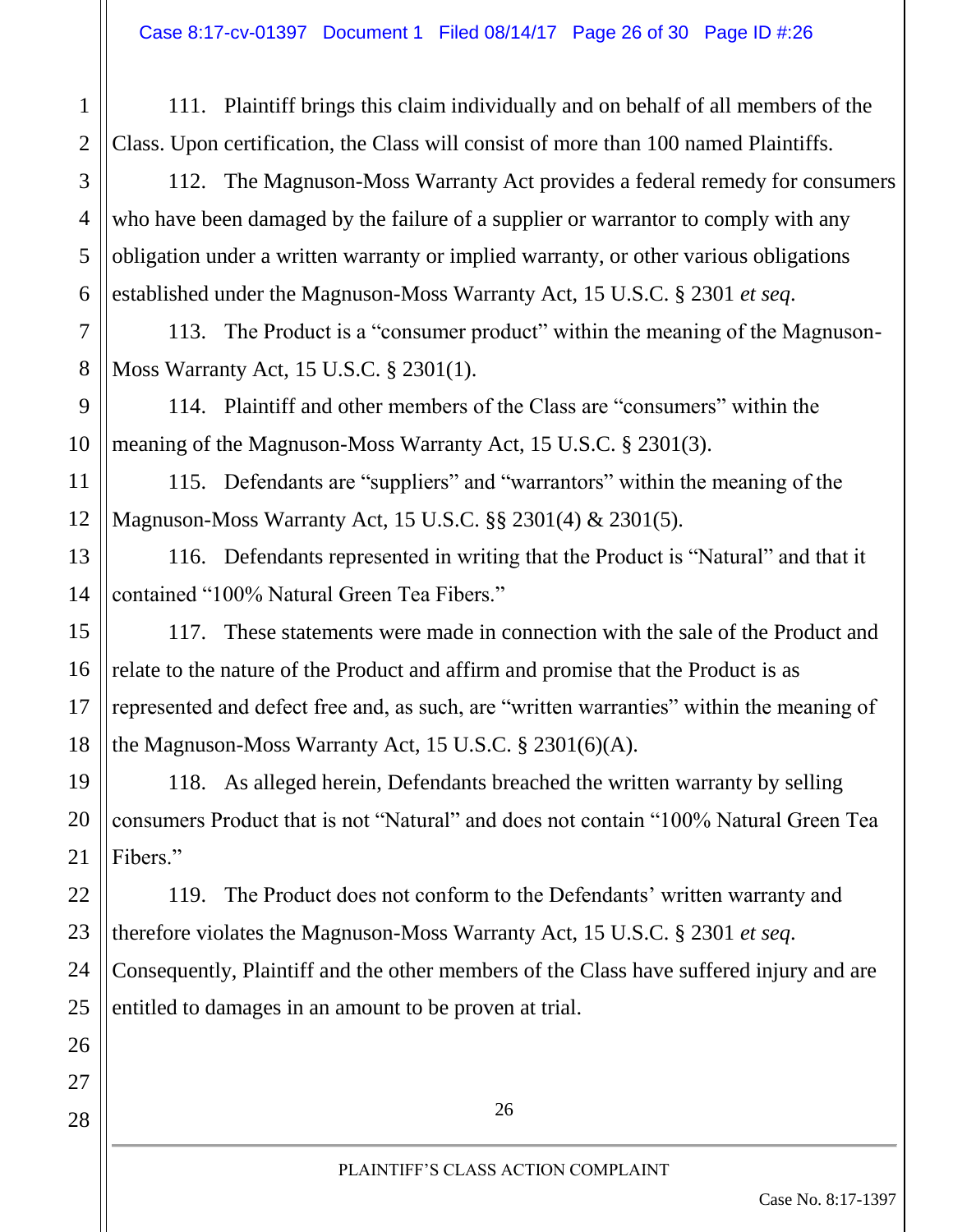111. Plaintiff brings this claim individually and on behalf of all members of the Class. Upon certification, the Class will consist of more than 100 named Plaintiffs.

112. The Magnuson-Moss Warranty Act provides a federal remedy for consumers who have been damaged by the failure of a supplier or warrantor to comply with any obligation under a written warranty or implied warranty, or other various obligations established under the Magnuson-Moss Warranty Act, 15 U.S.C. § 2301 *et seq*.

7 8 113. The Product is a "consumer product" within the meaning of the Magnuson-Moss Warranty Act, 15 U.S.C. § 2301(1).

114. Plaintiff and other members of the Class are "consumers" within the meaning of the Magnuson-Moss Warranty Act, 15 U.S.C. § 2301(3).

115. Defendants are "suppliers" and "warrantors" within the meaning of the Magnuson-Moss Warranty Act, 15 U.S.C. §§ 2301(4) & 2301(5).

116. Defendants represented in writing that the Product is "Natural" and that it contained "100% Natural Green Tea Fibers."

117. These statements were made in connection with the sale of the Product and relate to the nature of the Product and affirm and promise that the Product is as represented and defect free and, as such, are "written warranties" within the meaning of the Magnuson-Moss Warranty Act, 15 U.S.C. § 2301(6)(A).

118. As alleged herein, Defendants breached the written warranty by selling consumers Product that is not "Natural" and does not contain "100% Natural Green Tea Fibers."

119. The Product does not conform to the Defendants' written warranty and therefore violates the Magnuson-Moss Warranty Act, 15 U.S.C. § 2301 *et seq*. Consequently, Plaintiff and the other members of the Class have suffered injury and are

entitled to damages in an amount to be proven at trial.

28

1

2

3

4

5

6

9

10

11

12

13

14

15

16

17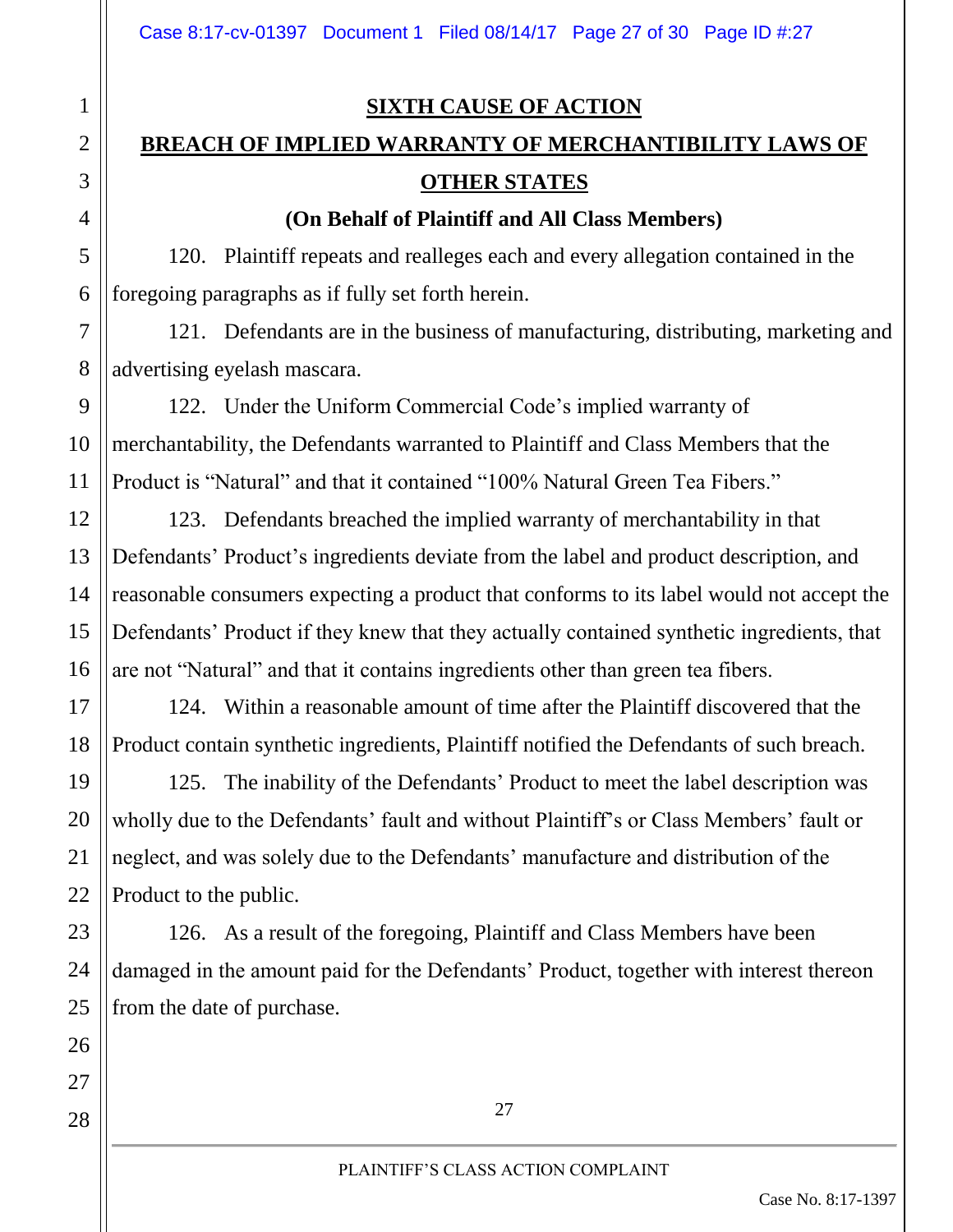#### **SIXTH CAUSE OF ACTION**

# **BREACH OF IMPLIED WARRANTY OF MERCHANTIBILITY LAWS OF OTHER STATES**

#### **(On Behalf of Plaintiff and All Class Members)**

120. Plaintiff repeats and realleges each and every allegation contained in the foregoing paragraphs as if fully set forth herein.

121. Defendants are in the business of manufacturing, distributing, marketing and advertising eyelash mascara.

122. Under the Uniform Commercial Code's implied warranty of merchantability, the Defendants warranted to Plaintiff and Class Members that the Product is "Natural" and that it contained "100% Natural Green Tea Fibers."

123. Defendants breached the implied warranty of merchantability in that Defendants' Product's ingredients deviate from the label and product description, and reasonable consumers expecting a product that conforms to its label would not accept the Defendants' Product if they knew that they actually contained synthetic ingredients, that are not "Natural" and that it contains ingredients other than green tea fibers.

124. Within a reasonable amount of time after the Plaintiff discovered that the Product contain synthetic ingredients, Plaintiff notified the Defendants of such breach.

125. The inability of the Defendants' Product to meet the label description was wholly due to the Defendants' fault and without Plaintiff's or Class Members' fault or neglect, and was solely due to the Defendants' manufacture and distribution of the Product to the public.

126. As a result of the foregoing, Plaintiff and Class Members have been damaged in the amount paid for the Defendants' Product, together with interest thereon from the date of purchase.

1

2

3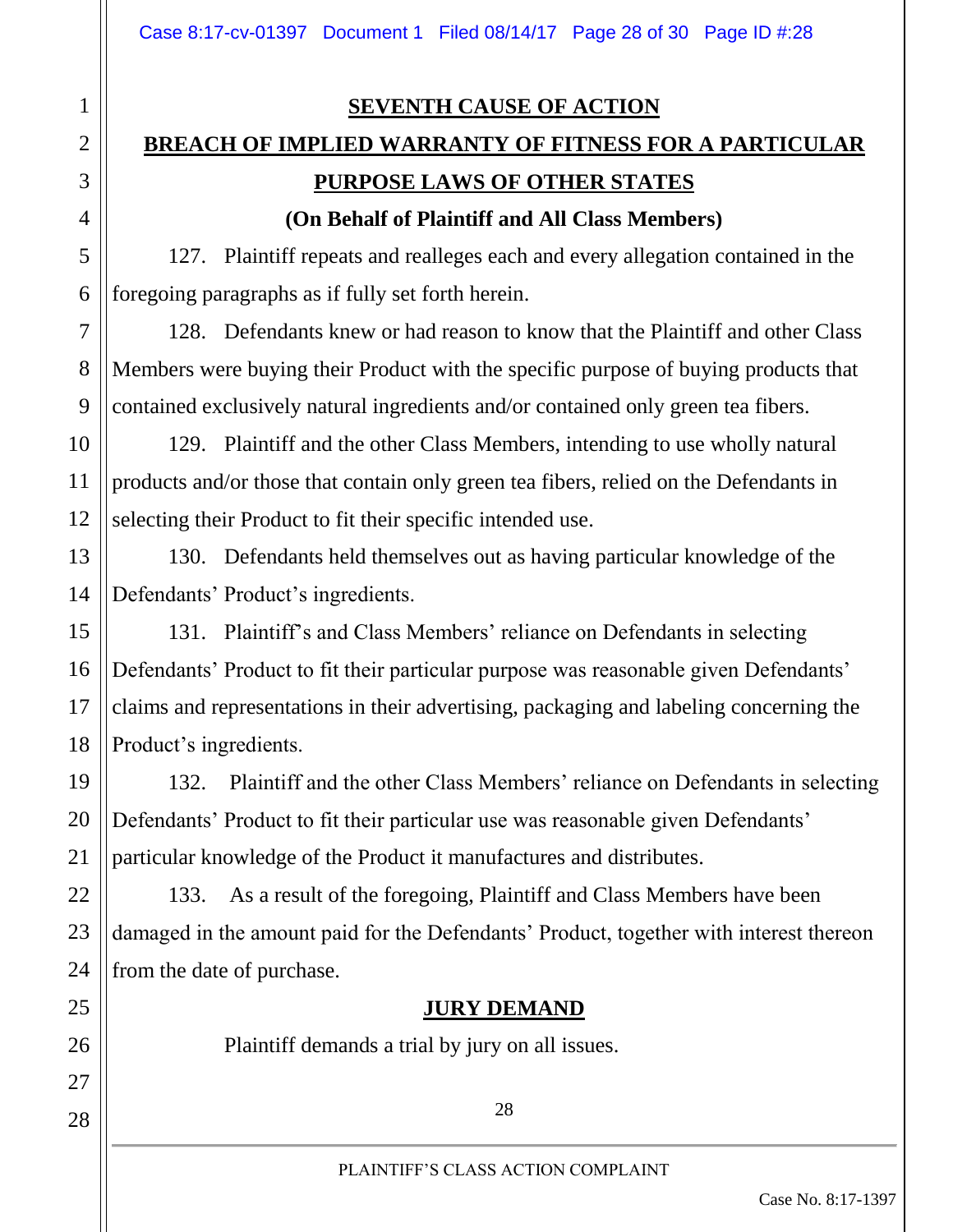1

2

3

4

5

6

7

8

9

10

11

12

15

16

17

18

19

20

21

22

23

24

25

26

27

28

#### **SEVENTH CAUSE OF ACTION**

# **BREACH OF IMPLIED WARRANTY OF FITNESS FOR A PARTICULAR PURPOSE LAWS OF OTHER STATES**

#### **(On Behalf of Plaintiff and All Class Members)**

127. Plaintiff repeats and realleges each and every allegation contained in the foregoing paragraphs as if fully set forth herein.

128. Defendants knew or had reason to know that the Plaintiff and other Class Members were buying their Product with the specific purpose of buying products that contained exclusively natural ingredients and/or contained only green tea fibers.

129. Plaintiff and the other Class Members, intending to use wholly natural products and/or those that contain only green tea fibers, relied on the Defendants in selecting their Product to fit their specific intended use.

13 14 130. Defendants held themselves out as having particular knowledge of the Defendants' Product's ingredients.

131. Plaintiff's and Class Members' reliance on Defendants in selecting Defendants' Product to fit their particular purpose was reasonable given Defendants' claims and representations in their advertising, packaging and labeling concerning the Product's ingredients.

132. Plaintiff and the other Class Members' reliance on Defendants in selecting Defendants' Product to fit their particular use was reasonable given Defendants' particular knowledge of the Product it manufactures and distributes.

133. As a result of the foregoing, Plaintiff and Class Members have been damaged in the amount paid for the Defendants' Product, together with interest thereon from the date of purchase.

#### **JURY DEMAND**

Plaintiff demands a trial by jury on all issues.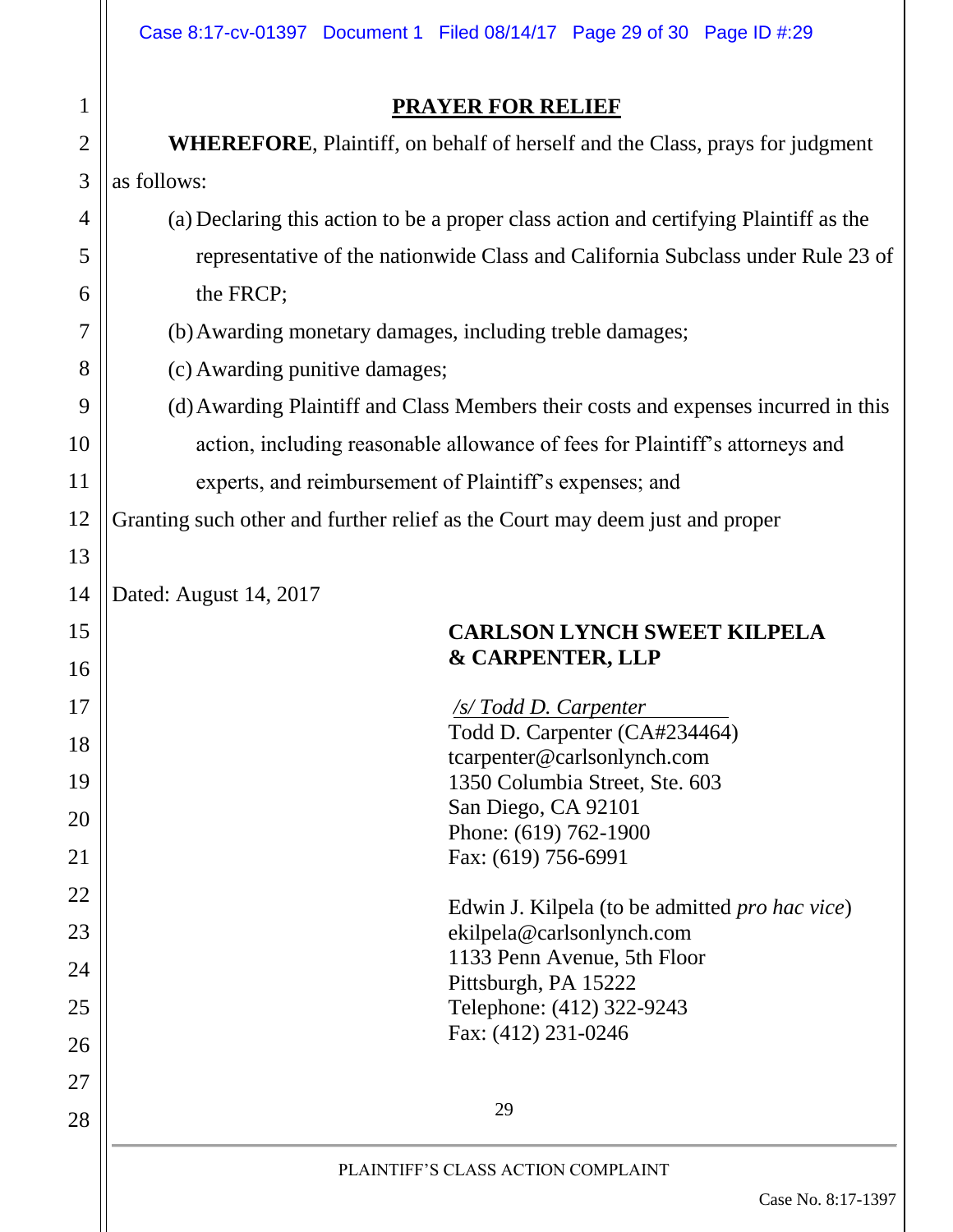|                | Case 8:17-cv-01397 Document 1 Filed 08/14/17 Page 29 of 30 Page ID #:29               |  |  |
|----------------|---------------------------------------------------------------------------------------|--|--|
| $\mathbf 1$    | <b>PRAYER FOR RELIEF</b>                                                              |  |  |
| $\overline{2}$ | <b>WHEREFORE, Plaintiff, on behalf of herself and the Class, prays for judgment</b>   |  |  |
| 3              | as follows:                                                                           |  |  |
| 4              | (a) Declaring this action to be a proper class action and certifying Plaintiff as the |  |  |
| 5              | representative of the nationwide Class and California Subclass under Rule 23 of       |  |  |
| 6              | the FRCP;                                                                             |  |  |
| 7              | (b) Awarding monetary damages, including treble damages;                              |  |  |
| 8              | (c) Awarding punitive damages;                                                        |  |  |
| 9              | (d) Awarding Plaintiff and Class Members their costs and expenses incurred in this    |  |  |
| 10             | action, including reasonable allowance of fees for Plaintiff's attorneys and          |  |  |
| 11             | experts, and reimbursement of Plaintiff's expenses; and                               |  |  |
| 12             | Granting such other and further relief as the Court may deem just and proper          |  |  |
| 13             |                                                                                       |  |  |
| 14             | Dated: August 14, 2017                                                                |  |  |
| 15             | <b>CARLSON LYNCH SWEET KILPELA</b>                                                    |  |  |
| 16             | <b>&amp; CARPENTER, LLP</b>                                                           |  |  |
| 17             | <b>S/Todd D. Carpenter</b>                                                            |  |  |
| 18             | Todd D. Carpenter (CA#234464)<br>tcarpenter@carlsonlynch.com                          |  |  |
| 19             | 1350 Columbia Street, Ste. 603                                                        |  |  |
| 20             | San Diego, CA 92101                                                                   |  |  |
| 21             | Phone: (619) 762-1900<br>Fax: (619) 756-6991                                          |  |  |
| 22             |                                                                                       |  |  |
| 23             | Edwin J. Kilpela (to be admitted <i>pro hac vice</i> )<br>ekilpela@carlsonlynch.com   |  |  |
| 24             | 1133 Penn Avenue, 5th Floor                                                           |  |  |
| 25             | Pittsburgh, PA 15222<br>Telephone: (412) 322-9243                                     |  |  |
| 26             | Fax: (412) 231-0246                                                                   |  |  |
| 27             |                                                                                       |  |  |
| 28             | 29                                                                                    |  |  |
|                |                                                                                       |  |  |
|                | PLAINTIFF'S CLASS ACTION COMPLAINT<br>Case No. 8:17-1397                              |  |  |